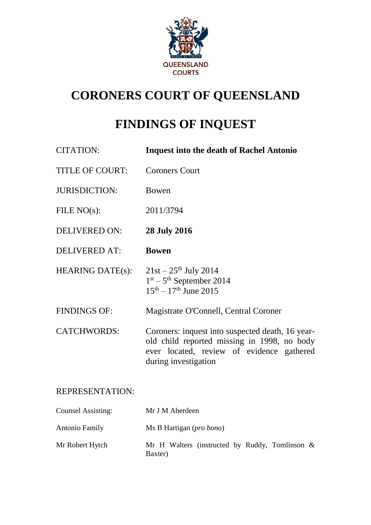

# **CORONERS COURT OF QUEENSLAND**

# **FINDINGS OF INQUEST**

| <b>CITATION:</b>        | <b>Inquest into the death of Rachel Antonio</b>                                                                                                                      |
|-------------------------|----------------------------------------------------------------------------------------------------------------------------------------------------------------------|
| <b>TITLE OF COURT:</b>  | <b>Coroners Court</b>                                                                                                                                                |
| <b>JURISDICTION:</b>    | Bowen                                                                                                                                                                |
| FILE $NO(s)$ :          | 2011/3794                                                                                                                                                            |
| <b>DELIVERED ON:</b>    | <b>28 July 2016</b>                                                                                                                                                  |
| <b>DELIVERED AT:</b>    | <b>Bowen</b>                                                                                                                                                         |
| <b>HEARING DATE(s):</b> | $21st - 25th$ July 2014<br>$1st - 5th$ September 2014<br>$15^{th} - 17^{th}$ June 2015                                                                               |
| <b>FINDINGS OF:</b>     | Magistrate O'Connell, Central Coroner                                                                                                                                |
| <b>CATCHWORDS:</b>      | Coroners: inquest into suspected death, 16 year-<br>old child reported missing in 1998, no body<br>ever located, review of evidence gathered<br>during investigation |

## REPRESENTATION:

| <b>Counsel Assisting:</b> | Mr J M Aberdeen                                              |
|---------------------------|--------------------------------------------------------------|
| <b>Antonio Family</b>     | Ms B Hartigan ( <i>pro bono</i> )                            |
| Mr Robert Hytch           | Mr H Walters (instructed by Ruddy, Tomlinson $\&$<br>Baxter) |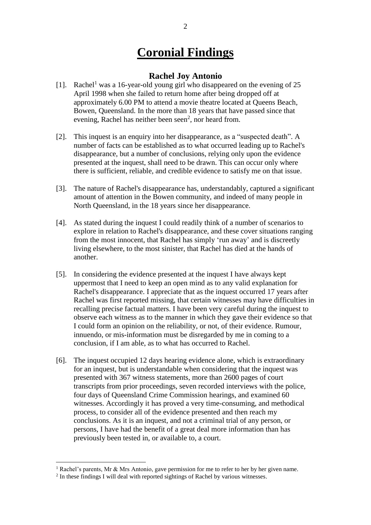## **Coronial Findings**

## **Rachel Joy Antonio**

- [1]. Rachel<sup>1</sup> was a 16-year-old young girl who disappeared on the evening of 25 April 1998 when she failed to return home after being dropped off at approximately 6.00 PM to attend a movie theatre located at Queens Beach, Bowen, Queensland. In the more than 18 years that have passed since that evening, Rachel has neither been seen<sup>2</sup>, nor heard from.
- [2]. This inquest is an enquiry into her disappearance, as a "suspected death". A number of facts can be established as to what occurred leading up to Rachel's disappearance, but a number of conclusions, relying only upon the evidence presented at the inquest, shall need to be drawn. This can occur only where there is sufficient, reliable, and credible evidence to satisfy me on that issue.
- [3]. The nature of Rachel's disappearance has, understandably, captured a significant amount of attention in the Bowen community, and indeed of many people in North Queensland, in the 18 years since her disappearance.
- [4]. As stated during the inquest I could readily think of a number of scenarios to explore in relation to Rachel's disappearance, and these cover situations ranging from the most innocent, that Rachel has simply 'run away' and is discreetly living elsewhere, to the most sinister, that Rachel has died at the hands of another.
- [5]. In considering the evidence presented at the inquest I have always kept uppermost that I need to keep an open mind as to any valid explanation for Rachel's disappearance. I appreciate that as the inquest occurred 17 years after Rachel was first reported missing, that certain witnesses may have difficulties in recalling precise factual matters. I have been very careful during the inquest to observe each witness as to the manner in which they gave their evidence so that I could form an opinion on the reliability, or not, of their evidence. Rumour, innuendo, or mis-information must be disregarded by me in coming to a conclusion, if I am able, as to what has occurred to Rachel.
- [6]. The inquest occupied 12 days hearing evidence alone, which is extraordinary for an inquest, but is understandable when considering that the inquest was presented with 367 witness statements, more than 2600 pages of court transcripts from prior proceedings, seven recorded interviews with the police, four days of Queensland Crime Commission hearings, and examined 60 witnesses. Accordingly it has proved a very time-consuming, and methodical process, to consider all of the evidence presented and then reach my conclusions. As it is an inquest, and not a criminal trial of any person, or persons, I have had the benefit of a great deal more information than has previously been tested in, or available to, a court.

<sup>&</sup>lt;sup>1</sup> Rachel's parents, Mr & Mrs Antonio, gave permission for me to refer to her by her given name.

<sup>&</sup>lt;sup>2</sup> In these findings I will deal with reported sightings of Rachel by various witnesses.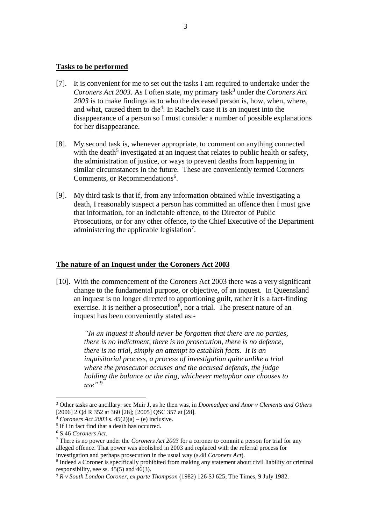#### **Tasks to be performed**

- [7]. It is convenient for me to set out the tasks I am required to undertake under the Coroners Act 2003. As I often state, my primary task<sup>3</sup> under the *Coroners Act 2003* is to make findings as to who the deceased person is, how, when, where, and what, caused them to die<sup>4</sup>. In Rachel's case it is an inquest into the disappearance of a person so I must consider a number of possible explanations for her disappearance.
- [8]. My second task is, whenever appropriate, to comment on anything connected with the death<sup>5</sup> investigated at an inquest that relates to public health or safety, the administration of justice, or ways to prevent deaths from happening in similar circumstances in the future. These are conveniently termed Coroners Comments, or Recommendations<sup>6</sup>.
- [9]. My third task is that if, from any information obtained while investigating a death, I reasonably suspect a person has committed an offence then I must give that information, for an indictable offence, to the Director of Public Prosecutions, or for any other offence, to the Chief Executive of the Department administering the applicable legislation<sup>7</sup>.

## **The nature of an Inquest under the Coroners Act 2003**

[10]. With the commencement of the Coroners Act 2003 there was a very significant change to the fundamental purpose, or objective, of an inquest. In Queensland an inquest is no longer directed to apportioning guilt, rather it is a fact-finding exercise. It is neither a prosecution<sup>8</sup>, nor a trial. The present nature of an inquest has been conveniently stated as:-

> *"In an inquest it should never be forgotten that there are no parties, there is no indictment, there is no prosecution, there is no defence, there is no trial, simply an attempt to establish facts. It is an inquisitorial process, a process of investigation quite unlike a trial where the prosecutor accuses and the accused defends, the judge holding the balance or the ring, whichever metaphor one chooses to use"* <sup>9</sup>

<sup>3</sup> Other tasks are ancillary: see Muir J, as he then was, in *Doomadgee and Anor v Clements and Others* [2006] 2 Qd R 352 at 360 [28]; [2005] QSC 357 at [28].

 $4$  *Coroners Act 2003* s.  $45(2)(a) - (e)$  inclusive.

<sup>&</sup>lt;sup>5</sup> If I in fact find that a death has occurred.

<sup>6</sup> S.46 *Coroners Act*.

<sup>7</sup> There is no power under the *Coroners Act 2003* for a coroner to commit a person for trial for any alleged offence. That power was abolished in 2003 and replaced with the referral process for investigation and perhaps prosecution in the usual way (s.48 *Coroners Act*).

<sup>&</sup>lt;sup>8</sup> Indeed a Coroner is specifically prohibited from making any statement about civil liability or criminal responsibility, see ss.  $45(5)$  and  $46(3)$ .

<sup>9</sup> *R v South London Coroner, ex parte Thompson* (1982) 126 SJ 625; The Times, 9 July 1982.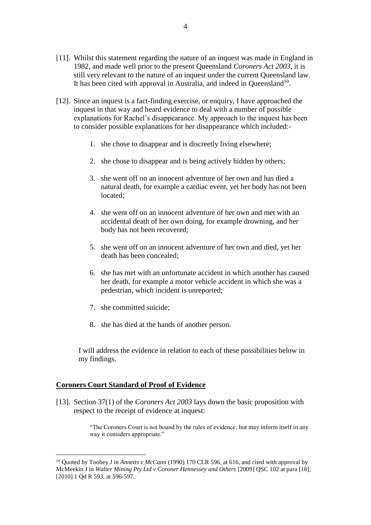- [11]. Whilst this statement regarding the nature of an inquest was made in England in 1982, and made well prior to the present Queensland *Coroners Act 2003*, it is still very relevant to the nature of an inquest under the current Queensland law. It has been cited with approval in Australia, and indeed in Queensland<sup>10</sup>.
- [12]. Since an inquest is a fact-finding exercise, or enquiry, I have approached the inquest in that way and heard evidence to deal with a number of possible explanations for Rachel's disappearance. My approach to the inquest has been to consider possible explanations for her disappearance which included:-
	- 1. she chose to disappear and is discreetly living elsewhere;
	- 2. she chose to disappear and is being actively hidden by others;
	- 3. she went off on an innocent adventure of her own and has died a natural death, for example a cardiac event, yet her body has not been located;
	- 4. she went off on an innocent adventure of her own and met with an accidental death of her own doing, for example drowning, and her body has not been recovered;
	- 5. she went off on an innocent adventure of her own and died, yet her death has been concealed;
	- 6. she has met with an unfortunate accident in which another has caused her death, for example a motor vehicle accident in which she was a pedestrian, which incident is unreported;
	- 7. she committed suicide;
	- 8. she has died at the hands of another person.

I will address the evidence in relation to each of these possibilities below in my findings.

## **Coroners Court Standard of Proof of Evidence**

<u>.</u>

[13]. Section 37(1) of the *Coroners Act 2003* lays down the basic proposition with respect to the receipt of evidence at inquest:

> "The Coroners Court is not bound by the rules of evidence, but may inform itself in any way it considers appropriate."

<sup>10</sup> Quoted by Toohey J in *Annetts v McCann* (1990) 170 CLR 596, at 616, and cited with approval by McMeekin J in *Walter Mining Pty Ltd v Coroner Hennessey and Others* [2009] QSC 102 at para [18]; [2010] 1 Qd R 593, at 596-597.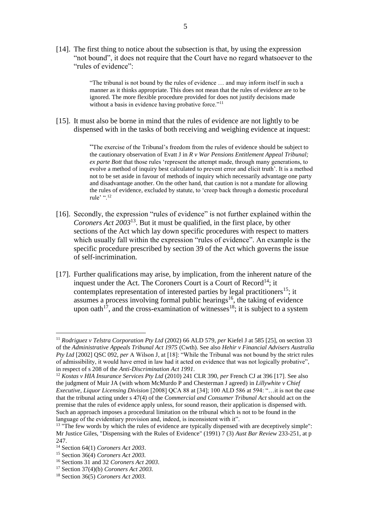[14]. The first thing to notice about the subsection is that, by using the expression "not bound", it does not require that the Court have no regard whatsoever to the "rules of evidence":

> "The tribunal is not bound by the rules of evidence … and may inform itself in such a manner as it thinks appropriate. This does not mean that the rules of evidence are to be ignored. The more flexible procedure provided for does not justify decisions made without a basis in evidence having probative force."<sup>11</sup>

[15]. It must also be borne in mind that the rules of evidence are not lightly to be dispensed with in the tasks of both receiving and weighing evidence at inquest:

> "The exercise of the Tribunal's freedom from the rules of evidence should be subject to the cautionary observation of Evatt J in *R v War Pensions Entitlement Appeal Tribunal; ex parte Bott* that those rules 'represent the attempt made, through many generations, to evolve a method of inquiry best calculated to prevent error and elicit truth'. It is a method not to be set aside in favour of methods of inquiry which necessarily advantage one party and disadvantage another. On the other hand, that caution is not a mandate for allowing the rules of evidence, excluded by statute, to 'creep back through a domestic procedural rule' ".<sup>12</sup>

- [16]. Secondly, the expression "rules of evidence" is not further explained within the *Coroners Act 2003*<sup>13</sup> . But it must be qualified, in the first place, by other sections of the Act which lay down specific procedures with respect to matters which usually fall within the expression "rules of evidence". An example is the specific procedure prescribed by section 39 of the Act which governs the issue of self-incrimination.
- [17]. Further qualifications may arise, by implication, from the inherent nature of the inquest under the Act. The Coroners Court is a Court of  $Record<sup>14</sup>$ ; it contemplates representation of interested parties by legal practitioners<sup>15</sup>; it assumes a process involving formal public hearings <sup>16</sup>, the taking of evidence upon oath<sup>17</sup>, and the cross-examination of witnesses<sup>18</sup>; it is subject to a system

<sup>11</sup> *Rodriguez v Telstra Corporation Pty Ltd* (2002) 66 ALD 579, *per* Kiefel J at 585 [25], on section 33 of the *Administrative Appeals Tribunal Act 1975* (Cwth). See also *Hehir v Financial Advisers Australia Pty Ltd* [2002] QSC 092, *per* A Wilson J, at [18]: "While the Tribunal was not bound by the strict rules of admissibility, it would have erred in law had it acted on evidence that was not logically probative", in respect of s 208 of the *Anti-Discrimination Act 1991*.

<sup>12</sup> *Kostas v HIA Insurance Services Pty Ltd* (2010) 241 CLR 390, *per* French CJ at 396 [17]. See also the judgment of Muir JA (with whom McMurdo P and Chesterman J agreed) in *Lillywhite v Chief Executive, Liquor Licensing Division* [2008] QCA 88 at [34]; 100 ALD 586 at 594: "…it is not the case that the tribunal acting under s 47(4) of the *Commercial and Consumer Tribunal Act* should act on the premise that the rules of evidence apply unless, for sound reason, their application is dispensed with. Such an approach imposes a procedural limitation on the tribunal which is not to be found in the language of the evidentiary provision and, indeed, is inconsistent with it".

<sup>&</sup>lt;sup>13</sup> "The few words by which the rules of evidence are typically dispensed with are deceptively simple": Mr Justice Giles, "Dispensing with the Rules of Evidence" (1991) 7 (3) *Aust Bar Review* 233-251, at p 247.

<sup>14</sup> Section 64(1) *Coroners Act 2003*.

<sup>15</sup> Section 36(4) *Coroners Act 2003.*

<sup>16</sup> Sections 31 and 32 *Coroners Act 2003*.

<sup>17</sup> Section 37(4)(b) *Coroners Act 2003.*

<sup>18</sup> Section 36(5) *Coroners Act 2003.*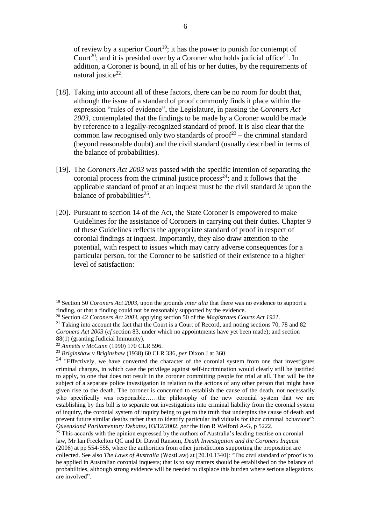of review by a superior Court<sup>19</sup>; it has the power to punish for contempt of Court<sup>20</sup>; and it is presided over by a Coroner who holds judicial office<sup>21</sup>. In addition, a Coroner is bound, in all of his or her duties, by the requirements of natural justice<sup>22</sup>.

- [18]. Taking into account all of these factors, there can be no room for doubt that, although the issue of a standard of proof commonly finds it place within the expression "rules of evidence", the Legislature, in passing the *Coroners Act 2003*, contemplated that the findings to be made by a Coroner would be made by reference to a legally-recognized standard of proof. It is also clear that the common law recognised only two standards of  $proof<sup>23</sup> - the criminal standard$ (beyond reasonable doubt) and the civil standard (usually described in terms of the balance of probabilities).
- [19]. The *Coroners Act 2003* was passed with the specific intention of separating the coronial process from the criminal justice process<sup>24</sup>; and it follows that the applicable standard of proof at an inquest must be the civil standard *ie* upon the balance of probabilities<sup>25</sup>.
- [20]. Pursuant to section 14 of the Act, the State Coroner is empowered to make Guidelines for the assistance of Coroners in carrying out their duties. Chapter 9 of these Guidelines reflects the appropriate standard of proof in respect of coronial findings at inquest. Importantly, they also draw attention to the potential, with respect to issues which may carry adverse consequences for a particular person, for the Coroner to be satisfied of their existence to a higher level of satisfaction:

<sup>19</sup> Section 50 *Coroners Act 2003*, upon the grounds *inter alia* that there was no evidence to support a finding, or that a finding could not be reasonably supported by the evidence.

<sup>20</sup> Section 42 *Coroners Act 2003*, applying section 50 of the *Magistrates Courts Act 1921.*

<sup>&</sup>lt;sup>21</sup> Taking into account the fact that the Court is a Court of Record, and noting sections 70, 78 and 82 *Coroners Act 2003* (*cf* section 83, under which no appointments have yet been made); and section 88(1) (granting Judicial Immunity).

<sup>22</sup> *Annetts v McCann* (1990) 170 CLR 596.

<sup>23</sup> *Briginshaw v Briginshaw* (1938) 60 CLR 336, *per* Dixon J at 360.

<sup>&</sup>lt;sup>24</sup> "Effectively, we have converted the character of the coronial system from one that investigates criminal charges, in which case the privilege against self-incrimination would clearly still be justified to apply, to one that does not result in the coroner committing people for trial at all. That will be the subject of a separate police investigation in relation to the actions of any other person that might have given rise to the death. The coroner is concerned to establish the cause of the death, not necessarily who specifically was responsible……the philosophy of the new coronial system that we are establishing by this bill is to separate out investigations into criminal liability from the coronial system of inquiry, the coronial system of inquiry being to get to the truth that underpins the cause of death and prevent future similar deaths rather than to identify particular individuals for their criminal behaviour": *Queensland Parliamentary Debates*, 03/12/2002, *per* the Hon R Welford A-G, p 5222.

 $25$  This accords with the opinion expressed by the authors of Australia's leading treatise on coronial law, Mr Ian Freckelton QC and Dr David Ransom, *Death Investigation and the Coroners Inquest* (2006) at pp 554-555, where the authorities from other jurisdictions supporting the proposition are collected. See also *The Laws of Australia* (WestLaw) at [20.10.1340]: "The civil standard of proof is to be applied in Australian coronial inquests; that is to say matters should be established on the balance of probabilities, although strong evidence will be needed to displace this burden where serious allegations are involved".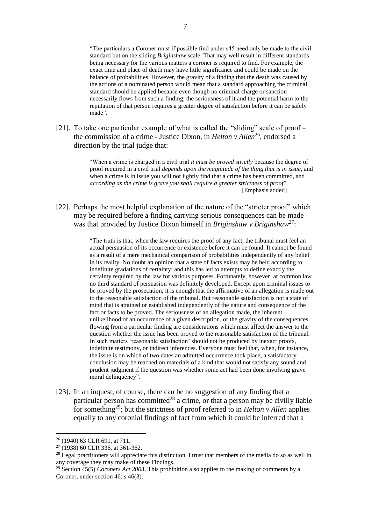"The particulars a Coroner must if possible find under s45 need only be made to the civil standard but on the sliding *Briginshaw* scale. That may well result in different standards being necessary for the various matters a coroner is required to find. For example, the exact time and place of death may have little significance and could be made on the balance of probabilities. However, the gravity of a finding that the death was caused by the actions of a nominated person would mean that a standard approaching the criminal standard should be applied because even though no criminal charge or sanction necessarily flows from such a finding, the seriousness of it and the potential harm to the reputation of that person requires a greater degree of satisfaction before it can be safely made".

[21]. To take one particular example of what is called the "sliding" scale of proof – the commission of a crime - Justice Dixon, in *Helton v Allen*<sup>26</sup>, endorsed a direction by the trial judge that:

> "When a crime is charged in a civil trial *it must be proved strictly* because the degree of proof required in a civil trial *depends upon the magnitude of the thing that is in issue*, and when a crime is in issue you will not lightly find that a crime has been committed, and *according as the crime is grave you shall require a greater strictness of proof*". [Emphasis added]

[22]. Perhaps the most helpful explanation of the nature of the "stricter proof" which may be required before a finding carrying serious consequences can be made was that provided by Justice Dixon himself in *Briginshaw v Briginshaw*<sup>27</sup>:

> "The truth is that, when the law requires the proof of any fact, the tribunal must feel an actual persuasion of its occurrence or existence before it can be found. It cannot be found as a result of a mere mechanical comparison of probabilities independently of any belief in its reality. No doubt an opinion that a state of facts exists may be held according to indefinite gradations of certainty; and this has led to attempts to define exactly the certainty required by the law for various purposes. Fortunately, however, at common law no third standard of persuasion was definitely developed. Except upon criminal issues to be proved by the prosecution, it is enough that the affirmative of an allegation is made out to the reasonable satisfaction of the tribunal. But reasonable satisfaction is not a state of mind that is attained or established independently of the nature and consequence of the fact or facts to be proved. The seriousness of an allegation made, the inherent unlikelihood of an occurrence of a given description, or the gravity of the consequences flowing from a particular finding are considerations which must affect the answer to the question whether the issue has been proved to the reasonable satisfaction of the tribunal. In such matters 'reasonable satisfaction' should not be produced by inexact proofs, indefinite testimony, or indirect inferences. Everyone must feel that, when, for instance, the issue is on which of two dates an admitted occurrence took place, a satisfactory conclusion may be reached on materials of a kind that would not satisfy any sound and prudent judgment if the question was whether some act had been done involving grave moral delinquency".

[23]. In an inquest, of course, there can be no suggestion of any finding that a particular person has committed<sup>28</sup> a crime, or that a person may be civilly liable for something<sup>29</sup>; but the strictness of proof referred to in *Helton v Allen* applies equally to any coronial findings of fact from which it could be inferred that a

<sup>26</sup> (1940) 63 CLR 691, at 711.

<sup>27</sup> (1938) 60 CLR 336, at 361-362.

<sup>&</sup>lt;sup>28</sup> Legal practitioners will appreciate this distinction, I trust that members of the media do so as well in any coverage they may make of these Findings.

<sup>29</sup> Section 45(5) *Coroners Act 2003*. This prohibition also applies to the making of comments by a Coroner, under section 46: s 46(3).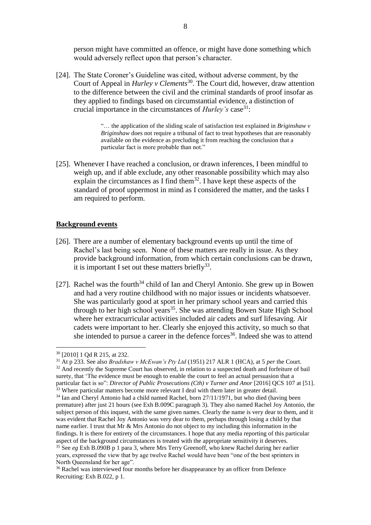person might have committed an offence, or might have done something which would adversely reflect upon that person's character.

[24]. The State Coroner's Guideline was cited, without adverse comment, by the Court of Appeal in *Hurley v Clements*<sup>30</sup>. The Court did, however, draw attention to the difference between the civil and the criminal standards of proof insofar as they applied to findings based on circumstantial evidence, a distinction of crucial importance in the circumstances of *Hurley's* case<sup>31</sup>:

> "… the application of the sliding scale of satisfaction test explained in *Briginshaw v Briginshaw* does not require a tribunal of fact to treat hypotheses that are reasonably available on the evidence as precluding it from reaching the conclusion that a particular fact is more probable than not."

[25]. Whenever I have reached a conclusion, or drawn inferences, I been mindful to weigh up, and if able exclude, any other reasonable possibility which may also explain the circumstances as I find them<sup>32</sup>. I have kept these aspects of the standard of proof uppermost in mind as I considered the matter, and the tasks I am required to perform.

## **Background events**

- [26]. There are a number of elementary background events up until the time of Rachel's last being seen. None of these matters are really in issue. As they provide background information, from which certain conclusions can be drawn, it is important I set out these matters briefly<sup>33</sup>.
- [27]. Rachel was the fourth<sup>34</sup> child of Ian and Cheryl Antonio. She grew up in Bowen and had a very routine childhood with no major issues or incidents whatsoever. She was particularly good at sport in her primary school years and carried this through to her high school years<sup>35</sup>. She was attending Bowen State High School where her extracurricular activities included air cadets and surf lifesaving. Air cadets were important to her. Clearly she enjoyed this activity, so much so that she intended to pursue a career in the defence forces 36 . Indeed she was to attend

<sup>30</sup> [2010] 1 Qd R 215, at 232.

<sup>31</sup> At p 233. See also *Bradshaw v McEwan's Pty Ltd* (1951) 217 ALR 1 (HCA), at 5 *per* the Court. <sup>32</sup> And recently the Supreme Court has observed, in relation to a suspected death and forfeiture of bail surety, that 'The evidence must be enough to enable the court to feel an actual persuasion that a particular fact is so": *Director of Public Prosecutions (Cth) v Turner and Anor* [2016] QCS 107 at [51]. <sup>33</sup> Where particular matters become more relevant I deal with them later in greater detail.

<sup>34</sup> Ian and Cheryl Antonio had a child named Rachel, born 27/11/1971, but who died (having been premature) after just 21 hours (see Exh B.009C paragraph 3). They also named Rachel Joy Antonio, the subject person of this inquest, with the same given names. Clearly the name is very dear to them, and it was evident that Rachel Joy Antonio was very dear to them, perhaps through losing a child by that name earlier. I trust that Mr & Mrs Antonio do not object to my including this information in the findings. It is there for entirety of the circumstances. I hope that any media reporting of this particular aspect of the background circumstances is treated with the appropriate sensitivity it deserves. <sup>35</sup> See *eg* Exh B.090B p 1 para 3, where Mrs Terry Greenoff, who knew Rachel during her earlier

years, expressed the view that by age twelve Rachel would have been "one of the best sprinters in North Queensland for her age".

<sup>&</sup>lt;sup>36</sup> Rachel was interviewed four months before her disappearance by an officer from Defence Recruiting: Exh B.022, p 1.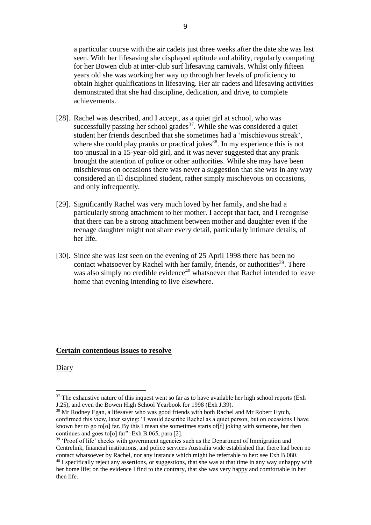a particular course with the air cadets just three weeks after the date she was last seen. With her lifesaving she displayed aptitude and ability, regularly competing for her Bowen club at inter-club surf lifesaving carnivals. Whilst only fifteen years old she was working her way up through her levels of proficiency to obtain higher qualifications in lifesaving. Her air cadets and lifesaving activities demonstrated that she had discipline, dedication, and drive, to complete achievements.

- [28]. Rachel was described, and I accept, as a quiet girl at school, who was successfully passing her school grades $37$ . While she was considered a quiet student her friends described that she sometimes had a 'mischievous streak', where she could play pranks or practical jokes $38$ . In my experience this is not too unusual in a 15-year-old girl, and it was never suggested that any prank brought the attention of police or other authorities. While she may have been mischievous on occasions there was never a suggestion that she was in any way considered an ill disciplined student, rather simply mischievous on occasions, and only infrequently.
- [29]. Significantly Rachel was very much loved by her family, and she had a particularly strong attachment to her mother. I accept that fact, and I recognise that there can be a strong attachment between mother and daughter even if the teenage daughter might not share every detail, particularly intimate details, of her life.
- [30]. Since she was last seen on the evening of 25 April 1998 there has been no contact whatsoever by Rachel with her family, friends, or authorities<sup>39</sup>. There was also simply no credible evidence<sup>40</sup> whatsoever that Rachel intended to leave home that evening intending to live elsewhere.

## **Certain contentious issues to resolve**

Diary

 $37$  The exhaustive nature of this inquest went so far as to have available her high school reports (Exh J.25), and even the Bowen High School Yearbook for 1998 (Exh J.39).

<sup>&</sup>lt;sup>38</sup> Mr Rodney Egan, a lifesaver who was good friends with both Rachel and Mr Robert Hytch, confirmed this view, later saying: "I would describe Rachel as a quiet person, but on occasions I have known her to go to[o] far. By this I mean she sometimes starts of[f] joking with someone, but then continues and goes to [o] far": Exh B.065, para [2].

<sup>&</sup>lt;sup>39</sup> 'Proof of life' checks with government agencies such as the Department of Immigration and Centrelink, financial institutions, and police services Australia wide established that there had been no contact whatsoever by Rachel, nor any instance which might be referrable to her: see Exh B.080.

<sup>&</sup>lt;sup>40</sup> I specifically reject any assertions, or suggestions, that she was at that time in any way unhappy with her home life; on the evidence I find to the contrary, that she was very happy and comfortable in her then life.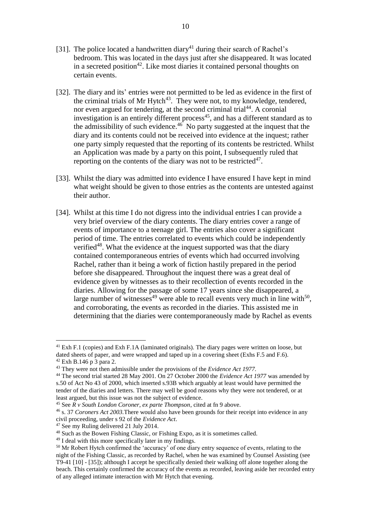- [31]. The police located a handwritten diary<sup>41</sup> during their search of Rachel's bedroom. This was located in the days just after she disappeared. It was located in a secreted position<sup>42</sup>. Like most diaries it contained personal thoughts on certain events.
- [32]. The diary and its' entries were not permitted to be led as evidence in the first of the criminal trials of Mr Hytch<sup>43</sup>. They were not, to my knowledge, tendered, nor even argued for tendering, at the second criminal trial<sup>44</sup>. A coronial investigation is an entirely different process<sup>45</sup>, and has a different standard as to the admissibility of such evidence.<sup>46</sup> No party suggested at the inquest that the diary and its contents could not be received into evidence at the inquest; rather one party simply requested that the reporting of its contents be restricted. Whilst an Application was made by a party on this point, I subsequently ruled that reporting on the contents of the diary was not to be restricted $47$ .
- [33]. Whilst the diary was admitted into evidence I have ensured I have kept in mind what weight should be given to those entries as the contents are untested against their author.
- [34]. Whilst at this time I do not digress into the individual entries I can provide a very brief overview of the diary contents. The diary entries cover a range of events of importance to a teenage girl. The entries also cover a significant period of time. The entries correlated to events which could be independently verified<sup>48</sup>. What the evidence at the inquest supported was that the diary contained contemporaneous entries of events which had occurred involving Rachel, rather than it being a work of fiction hastily prepared in the period before she disappeared. Throughout the inquest there was a great deal of evidence given by witnesses as to their recollection of events recorded in the diaries. Allowing for the passage of some 17 years since she disappeared, a large number of witnesses<sup>49</sup> were able to recall events very much in line with<sup>50</sup>, and corroborating, the events as recorded in the diaries. This assisted me in determining that the diaries were contemporaneously made by Rachel as events

<sup>&</sup>lt;sup>41</sup> Exh F.1 (copies) and Exh F.1A (laminated originals). The diary pages were written on loose, but dated sheets of paper, and were wrapped and taped up in a covering sheet (Exhs F.5 and F.6). <sup>42</sup> Exh B.146 p 3 para 2.

<sup>43</sup> They were not then admissible under the provisions of the *Evidence Act 1977.*

<sup>44</sup> The second trial started 28 May 2001. On 27 October 2000 the *Evidence Act 1977* was amended by s.50 of Act No 43 of 2000, which inserted s.93B which arguably at least would have permitted the tender of the diaries and letters. There may well be good reasons why they were not tendered, or at least argued, but this issue was not the subject of evidence.

<sup>45</sup> See *R v South London Coroner, ex parte Thompson*, cited at fn 9 above.

<sup>46</sup> s. 37 *Coroners Act 2003.*There would also have been grounds for their receipt into evidence in any civil proceeding, under s 92 of the *Evidence Act*.

<sup>47</sup> See my Ruling delivered 21 July 2014.

<sup>48</sup> Such as the Bowen Fishing Classic, or Fishing Expo, as it is sometimes called.

<sup>&</sup>lt;sup>49</sup> I deal with this more specifically later in my findings.

<sup>&</sup>lt;sup>50</sup> Mr Robert Hytch confirmed the 'accuracy' of one diary entry sequence of events, relating to the night of the Fishing Classic, as recorded by Rachel, when he was examined by Counsel Assisting (see T9-41 [10] - [35]); although I accept he specifically denied their walking off alone together along the beach. This certainly confirmed the accuracy of the events as recorded, leaving aside her recorded entry of any alleged intimate interaction with Mr Hytch that evening.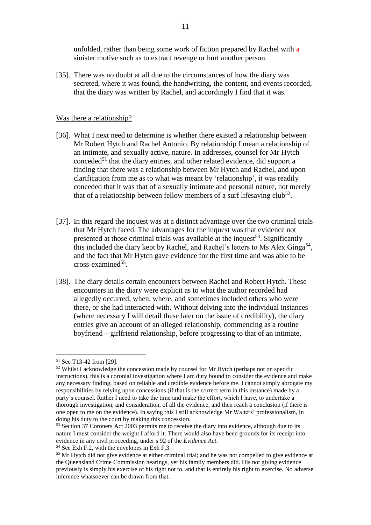unfolded, rather than being some work of fiction prepared by Rachel with a sinister motive such as to extract revenge or hurt another person.

[35]. There was no doubt at all due to the circumstances of how the diary was secreted, where it was found, the handwriting, the content, and events recorded, that the diary was written by Rachel, and accordingly I find that it was.

## Was there a relationship?

- [36]. What I next need to determine is whether there existed a relationship between Mr Robert Hytch and Rachel Antonio. By relationship I mean a relationship of an intimate, and sexually active, nature. In addresses, counsel for Mr Hytch conceded<sup>51</sup> that the diary entries, and other related evidence, did support a finding that there was a relationship between Mr Hytch and Rachel, and upon clarification from me as to what was meant by 'relationship', it was readily conceded that it was that of a sexually intimate and personal nature, not merely that of a relationship between fellow members of a surf lifesaving club<sup>52</sup>.
- [37]. In this regard the inquest was at a distinct advantage over the two criminal trials that Mr Hytch faced. The advantages for the inquest was that evidence not presented at those criminal trials was available at the inquest<sup>53</sup>. Significantly this included the diary kept by Rachel, and Rachel's letters to Ms Alex Ginga<sup>54</sup>, and the fact that Mr Hytch gave evidence for the first time and was able to be cross-examined<sup>55</sup>.
- [38]. The diary details certain encounters between Rachel and Robert Hytch. These encounters in the diary were explicit as to what the author recorded had allegedly occurred, when, where, and sometimes included others who were there, or she had interacted with. Without delving into the individual instances (where necessary I will detail these later on the issue of credibility), the diary entries give an account of an alleged relationship, commencing as a routine boyfriend – girlfriend relationship, before progressing to that of an intimate,

<sup>51</sup> See T13-42 from [29].

<sup>&</sup>lt;sup>52</sup> Whilst I acknowledge the concession made by counsel for Mr Hytch (perhaps not on specific instructions), this is a coronial investigation where I am duty bound to consider the evidence and make any necessary finding, based on reliable and credible evidence before me. I cannot simply abrogate my responsibilities by relying upon concessions (if that is the correct term in this instance) made by a party's counsel. Rather I need to take the time and make the effort, which I have, to undertake a thorough investigation, and consideration, of all the evidence, and then reach a conclusion (if there is one open to me on the evidence). In saying this I still acknowledge Mr Walters' professionalism, in doing his duty to the court by making this concession.

<sup>&</sup>lt;sup>53</sup> Section 37 Coroners Act 2003 permits me to receive the diary into evidence, although due to its nature I must consider the weight I afford it. There would also have been grounds for its receipt into evidence in any civil proceeding, under s 92 of the *Evidence Act*.

 $54$  See Exh F.2, with the envelopes in Exh F.3.

<sup>&</sup>lt;sup>55</sup> Mr Hytch did not give evidence at either criminal trial; and he was not compelled to give evidence at the Queensland Crime Commission hearings, yet his family members did. His not giving evidence previously is simply his exercise of his right not to, and that is entirely his right to exercise. No adverse inference whatsoever can be drawn from that.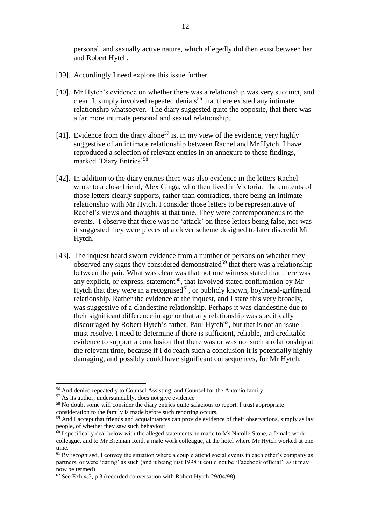personal, and sexually active nature, which allegedly did then exist between her and Robert Hytch.

- [39]. Accordingly I need explore this issue further.
- [40]. Mr Hytch's evidence on whether there was a relationship was very succinct, and clear. It simply involved repeated denials<sup>56</sup> that there existed any intimate relationship whatsoever. The diary suggested quite the opposite, that there was a far more intimate personal and sexual relationship.
- [41]. Evidence from the diary alone<sup>57</sup> is, in my view of the evidence, very highly suggestive of an intimate relationship between Rachel and Mr Hytch. I have reproduced a selection of relevant entries in an annexure to these findings, marked 'Diary Entries'<sup>58</sup>.
- [42]. In addition to the diary entries there was also evidence in the letters Rachel wrote to a close friend, Alex Ginga, who then lived in Victoria. The contents of those letters clearly supports, rather than contradicts, there being an intimate relationship with Mr Hytch. I consider those letters to be representative of Rachel's views and thoughts at that time. They were contemporaneous to the events. I observe that there was no 'attack' on these letters being false, nor was it suggested they were pieces of a clever scheme designed to later discredit Mr Hytch.
- [43]. The inquest heard sworn evidence from a number of persons on whether they observed any signs they considered demonstrated<sup>59</sup> that there was a relationship between the pair. What was clear was that not one witness stated that there was any explicit, or express, statement<sup>60</sup>, that involved stated confirmation by Mr Hytch that they were in a recognised<sup>61</sup>, or publicly known, boyfriend-girlfriend relationship. Rather the evidence at the inquest, and I state this very broadly, was suggestive of a clandestine relationship. Perhaps it was clandestine due to their significant difference in age or that any relationship was specifically discouraged by Robert Hytch's father, Paul Hytch<sup>62</sup>, but that is not an issue I must resolve. I need to determine if there is sufficient, reliable, and creditable evidence to support a conclusion that there was or was not such a relationship at the relevant time, because if I do reach such a conclusion it is potentially highly damaging, and possibly could have significant consequences, for Mr Hytch.

<sup>56</sup> And denied repeatedly to Counsel Assisting, and Counsel for the Antonio family.

<sup>57</sup> As its author, understandably, does not give evidence

<sup>&</sup>lt;sup>58</sup> No doubt some will consider the diary entries quite salacious to report. I trust appropriate consideration to the family is made before such reporting occurs.

<sup>&</sup>lt;sup>59</sup> And I accept that friends and acquaintances can provide evidence of their observations, simply as lay people, of whether they saw such behaviour

 $60$  I specifically deal below with the alleged statements he made to Ms Nicolle Stone, a female work colleague, and to Mr Brennan Reid, a male work colleague, at the hotel where Mr Hytch worked at one time.

 $<sup>61</sup>$  By recognised, I convey the situation where a couple attend social events in each other's company as</sup> partners, or were 'dating' as such (and it being just 1998 it could not be 'Facebook official', as it may now be termed)

 $62$  See Exh 4.5, p 3 (recorded conversation with Robert Hytch 29/04/98).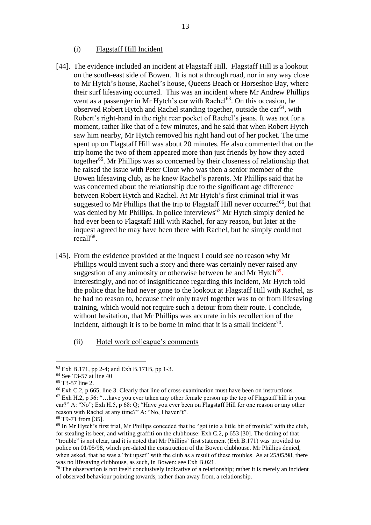#### (i) Flagstaff Hill Incident

- [44]. The evidence included an incident at Flagstaff Hill. Flagstaff Hill is a lookout on the south-east side of Bowen. It is not a through road, nor in any way close to Mr Hytch's house, Rachel's house, Queens Beach or Horseshoe Bay, where their surf lifesaving occurred. This was an incident where Mr Andrew Phillips went as a passenger in Mr Hytch's car with Rachel<sup>63</sup>. On this occasion, he observed Robert Hytch and Rachel standing together, outside the car<sup>64</sup>, with Robert's right-hand in the right rear pocket of Rachel's jeans. It was not for a moment, rather like that of a few minutes, and he said that when Robert Hytch saw him nearby, Mr Hytch removed his right hand out of her pocket. The time spent up on Flagstaff Hill was about 20 minutes. He also commented that on the trip home the two of them appeared more than just friends by how they acted together<sup>65</sup>. Mr Phillips was so concerned by their closeness of relationship that he raised the issue with Peter Clout who was then a senior member of the Bowen lifesaving club, as he knew Rachel's parents. Mr Phillips said that he was concerned about the relationship due to the significant age difference between Robert Hytch and Rachel. At Mr Hytch's first criminal trial it was suggested to Mr Phillips that the trip to Flagstaff Hill never occurred<sup>66</sup>, but that was denied by Mr Phillips. In police interviews<sup>67</sup> Mr Hytch simply denied he had ever been to Flagstaff Hill with Rachel, for any reason, but later at the inquest agreed he may have been there with Rachel, but he simply could not recall<sup>68</sup>.
- [45]. From the evidence provided at the inquest I could see no reason why Mr Phillips would invent such a story and there was certainly never raised any suggestion of any animosity or otherwise between he and Mr Hytch<sup>69</sup>. Interestingly, and not of insignificance regarding this incident, Mr Hytch told the police that he had never gone to the lookout at Flagstaff Hill with Rachel, as he had no reason to, because their only travel together was to or from lifesaving training, which would not require such a detour from their route. I conclude, without hesitation, that Mr Phillips was accurate in his recollection of the incident, although it is to be borne in mind that it is a small incident<sup>70</sup>.
	- (ii) Hotel work colleague's comments

<sup>63</sup> Exh B.171, pp 2-4; and Exh B.171B, pp 1-3.

<sup>&</sup>lt;sup>64</sup> See T3-57 at line 40

<sup>65</sup> T3-57 line 2.

<sup>66</sup> Exh C.2, p 665, line 3. Clearly that line of cross-examination must have been on instructions.

 $67$  Exh H.2, p 56: "... have you ever taken any other female person up the top of Flagstaff hill in your car?" A: "No"; Exh H.5, p 68: Q; "Have you ever been on Flagstaff Hill for one reason or any other reason with Rachel at any time?" A: "No, I haven't".

<sup>68</sup> T9-71 from [35].

 $69$  In Mr Hytch's first trial, Mr Phillips conceded that he "got into a little bit of trouble" with the club, for stealing its beer, and writing graffiti on the clubhouse: Exh C.2, p 653 [30]. The timing of that "trouble" is not clear, and it is noted that Mr Phillips' first statement (Exh B.171) was provided to police on 01/05/98, which pre-dated the construction of the Bowen clubhouse. Mr Phillips denied, when asked, that he was a "bit upset" with the club as a result of these troubles. As at 25/05/98, there was no lifesaving clubhouse, as such, in Bowen: see Exh B.021.

 $70$  The observation is not itself conclusively indicative of a relationship; rather it is merely an incident of observed behaviour pointing towards, rather than away from, a relationship.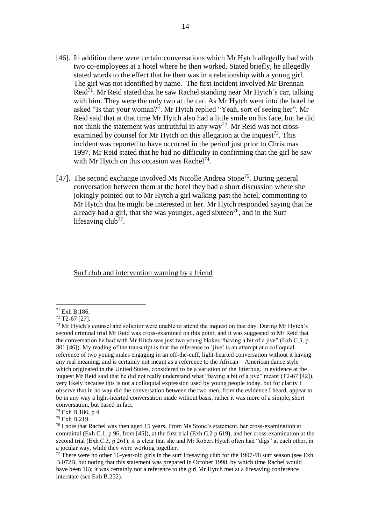- [46]. In addition there were certain conversations which Mr Hytch allegedly had with two co-employees at a hotel where he then worked. Stated briefly, he allegedly stated words to the effect that he then was in a relationship with a young girl. The girl was not identified by name. The first incident involved Mr Brennan Reid<sup>71</sup>. Mr Reid stated that he saw Rachel standing near Mr Hytch's car, talking with him. They were the only two at the car. As Mr Hytch went into the hotel he asked "Is that your woman?". Mr Hytch replied "Yeah, sort of seeing her". Mr Reid said that at that time Mr Hytch also had a little smile on his face, but he did not think the statement was untruthful in any way<sup>72</sup>. Mr Reid was not crossexamined by counsel for Mr Hytch on this allegation at the inquest<sup>73</sup>. This incident was reported to have occurred in the period just prior to Christmas 1997. Mr Reid stated that he had no difficulty in confirming that the girl he saw with Mr Hytch on this occasion was Rachel<sup>74</sup>.
- [47]. The second exchange involved Ms Nicolle Andrea Stone<sup>75</sup>. During general conversation between them at the hotel they had a short discussion where she jokingly pointed out to Mr Hytch a girl walking past the hotel, commenting to Mr Hytch that he might be interested in her. Mr Hytch responded saying that he already had a girl, that she was younger, aged sixteen<sup>76</sup>, and in the Surf lifesaving club<sup>77</sup>.

Surf club and intervention warning by a friend

<sup>71</sup> Exh B.186.

 $72$  T<sub>2</sub>-67 [27].

<sup>&</sup>lt;sup>73</sup> Mr Hytch's counsel and solicitor were unable to attend the inquest on that day. During Mr Hytch's second criminal trial Mr Reid was cross-examined on this point, and it was suggested to Mr Reid that the conversation he had with Mr Hitch was just two young blokes "having a bit of a jive" (Exh C.3, p 301 [46]). My reading of the transcript is that the reference to 'jive' is an attempt at a colloquial reference of two young males engaging in an off-the-cuff, light-hearted conversation without it having any real meaning, and is certainly not meant as a reference to the African – American dance style which originated in the United States, considered to be a variation of the Jitterbug. In evidence at the inquest Mr Reid said that he did not really understand what "having a bit of a jive" meant (T2-67 [42]), very likely because this is not a colloquial expression used by young people today, but for clarity I observe that in no way did the conversation between the two men, from the evidence I heard, appear to be in any way a light-hearted conversation made without basis, rather it was more of a simple, short conversation, but based in fact.

<sup>74</sup> Exh B.186, p 4.

<sup>75</sup> Exh B.219.

<sup>76</sup> I note that Rachel was then aged 15 years. From Ms Stone's statement, her cross-examination at committal (Exh C.1, p 96, from [45]), at the first trial (Exh C.2 p 619), and her cross-examination at the second trial (Exh C.3, p 261), it is clear that she and Mr Robert Hytch often had "digs" at each other, in a jocular way, while they were working together.

 $77$  There were no other 16-year-old girls in the surf lifesaving club for the 1997-98 surf season (see Exh B.072B, but noting that this statement was prepared in October 1998, by which time Rachel would have been 16); it was certainly not a reference to the girl Mr Hytch met at a lifesaving conference interstate (see Exh B.252).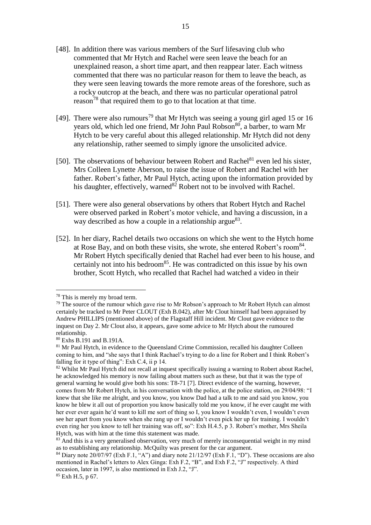- [48]. In addition there was various members of the Surf lifesaving club who commented that Mr Hytch and Rachel were seen leave the beach for an unexplained reason, a short time apart, and then reappear later. Each witness commented that there was no particular reason for them to leave the beach, as they were seen leaving towards the more remote areas of the foreshore, such as a rocky outcrop at the beach, and there was no particular operational patrol reason<sup>78</sup> that required them to go to that location at that time.
- [49]. There were also rumours<sup>79</sup> that Mr Hytch was seeing a young girl aged 15 or 16 years old, which led one friend, Mr John Paul Robson<sup>80</sup>, a barber, to warn Mr Hytch to be very careful about this alleged relationship. Mr Hytch did not deny any relationship, rather seemed to simply ignore the unsolicited advice.
- [50]. The observations of behaviour between Robert and Rachel $81$  even led his sister, Mrs Colleen Lynette Aberson, to raise the issue of Robert and Rachel with her father. Robert's father, Mr Paul Hytch, acting upon the information provided by his daughter, effectively, warned<sup>82</sup> Robert not to be involved with Rachel.
- [51]. There were also general observations by others that Robert Hytch and Rachel were observed parked in Robert's motor vehicle, and having a discussion, in a way described as how a couple in a relationship argue<sup>83</sup>.
- [52]. In her diary, Rachel details two occasions on which she went to the Hytch home at Rose Bay, and on both these visits, she wrote, she entered Robert's room<sup>84</sup>. Mr Robert Hytch specifically denied that Rachel had ever been to his house, and certainly not into his bedroom $85$ . He was contradicted on this issue by his own brother, Scott Hytch, who recalled that Rachel had watched a video in their

<sup>78</sup> This is merely my broad term.

<sup>&</sup>lt;sup>79</sup> The source of the rumour which gave rise to Mr Robson's approach to Mr Robert Hytch can almost certainly be tracked to Mr Peter CLOUT (Exh B.042), after Mr Clout himself had been appraised by Andrew PHILLIPS (mentioned above) of the Flagstaff Hill incident. Mr Clout gave evidence to the inquest on Day 2. Mr Clout also, it appears, gave some advice to Mr Hytch about the rumoured relationship.

<sup>80</sup> Exhs B.191 and B.191A.

<sup>&</sup>lt;sup>81</sup> Mr Paul Hytch, in evidence to the Queensland Crime Commission, recalled his daughter Colleen coming to him, and "she says that I think Rachael's trying to do a line for Robert and I think Robert's falling for it type of thing": Exh C.4, ii p 14.

<sup>&</sup>lt;sup>82</sup> Whilst Mr Paul Hytch did not recall at inquest specifically issuing a warning to Robert about Rachel, he acknowledged his memory is now failing about matters such as these, but that it was the type of general warning he would give both his sons: T8-71 [7]. Direct evidence of the warning, however, comes from Mr Robert Hytch, in his conversation with the police, at the police station, on 29/04/98: "I knew that she like me alright, and you know, you know Dad had a talk to me and said you know, you know he blew it all out of proportion you know basically told me you know, if he ever caught me with her ever ever again he'd want to kill me sort of thing so I, you know I wouldn't even, I wouldn't even see her apart from you know when she rang up or I wouldn't even pick her up for training. I wouldn't even ring her you know to tell her training was off, so": Exh H.4.5, p 3. Robert's mother, Mrs Sheila Hytch, was with him at the time this statement was made.

<sup>&</sup>lt;sup>83</sup> And this is a very generalised observation, very much of merely inconsequential weight in my mind as to establishing any relationship. McQuilty was present for the car argument.

 $84$  Diary note 20/07/97 (Exh F.1, "A") and diary note 21/12/97 (Exh F.1, "D"). These occasions are also mentioned in Rachel's letters to Alex Ginga: Exh F.2, "B", and Exh F.2, "J" respectively. A third occasion, later in 1997, is also mentioned in Exh J.2, "J".

<sup>85</sup> Exh H.5, p 67.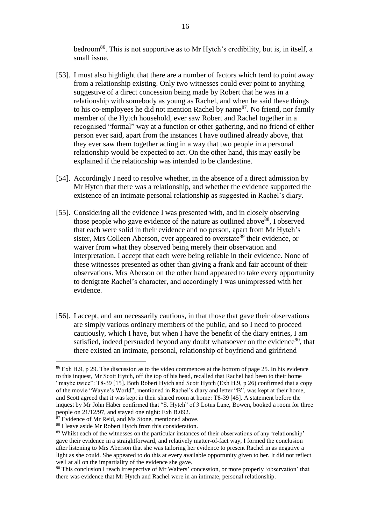bedroom<sup>86</sup>. This is not supportive as to Mr Hytch's credibility, but is, in itself, a small issue.

- [53]. I must also highlight that there are a number of factors which tend to point away from a relationship existing. Only two witnesses could ever point to anything suggestive of a direct concession being made by Robert that he was in a relationship with somebody as young as Rachel, and when he said these things to his co-employees he did not mention Rachel by name<sup>87</sup>. No friend, nor family member of the Hytch household, ever saw Robert and Rachel together in a recognised "formal" way at a function or other gathering, and no friend of either person ever said, apart from the instances I have outlined already above, that they ever saw them together acting in a way that two people in a personal relationship would be expected to act. On the other hand, this may easily be explained if the relationship was intended to be clandestine.
- [54]. Accordingly I need to resolve whether, in the absence of a direct admission by Mr Hytch that there was a relationship, and whether the evidence supported the existence of an intimate personal relationship as suggested in Rachel's diary.
- [55]. Considering all the evidence I was presented with, and in closely observing those people who gave evidence of the nature as outlined above<sup>88</sup>, I observed that each were solid in their evidence and no person, apart from Mr Hytch's sister, Mrs Colleen Aberson, ever appeared to overstate<sup>89</sup> their evidence, or waiver from what they observed being merely their observation and interpretation. I accept that each were being reliable in their evidence. None of these witnesses presented as other than giving a frank and fair account of their observations. Mrs Aberson on the other hand appeared to take every opportunity to denigrate Rachel's character, and accordingly I was unimpressed with her evidence.
- [56]. I accept, and am necessarily cautious, in that those that gave their observations are simply various ordinary members of the public, and so I need to proceed cautiously, which I have, but when I have the benefit of the diary entries, I am satisfied, indeed persuaded beyond any doubt whatsoever on the evidence<sup>90</sup>, that there existed an intimate, personal, relationship of boyfriend and girlfriend

<sup>86</sup> Exh H.9, p 29. The discussion as to the video commences at the bottom of page 25. In his evidence to this inquest, Mr Scott Hytch, off the top of his head, recalled that Rachel had been to their home "maybe twice": T8-39 [15]. Both Robert Hytch and Scott Hytch (Exh H.9, p 26) confirmed that a copy of the movie "Wayne's World", mentioned in Rachel's diary and letter "B", was kept at their home, and Scott agreed that it was kept in their shared room at home: T8-39 [45]. A statement before the inquest by Mr John Haber confirmed that "S. Hytch" of 3 Lotus Lane, Bowen, booked a room for three people on 21/12/97, and stayed one night: Exh B.092.

<sup>&</sup>lt;sup>87</sup> Evidence of Mr Reid, and Ms Stone, mentioned above.

<sup>88</sup> I leave aside Mr Robert Hytch from this consideration.

<sup>&</sup>lt;sup>89</sup> Whilst each of the witnesses on the particular instances of their observations of any 'relationship' gave their evidence in a straightforward, and relatively matter-of-fact way, I formed the conclusion after listening to Mrs Aberson that she was tailoring her evidence to present Rachel in as negative a light as she could. She appeared to do this at every available opportunity given to her. It did not reflect well at all on the impartiality of the evidence she gave.

<sup>&</sup>lt;sup>90</sup> This conclusion I reach irrespective of Mr Walters' concession, or more properly 'observation' that there was evidence that Mr Hytch and Rachel were in an intimate, personal relationship.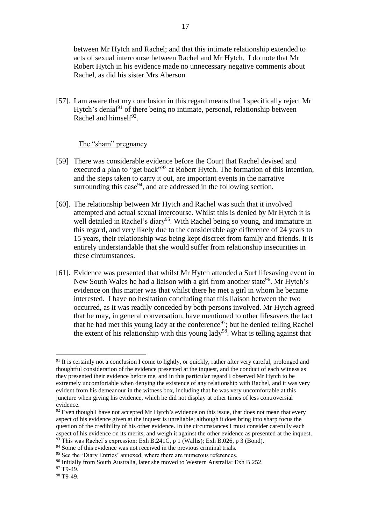between Mr Hytch and Rachel; and that this intimate relationship extended to acts of sexual intercourse between Rachel and Mr Hytch. I do note that Mr Robert Hytch in his evidence made no unnecessary negative comments about Rachel, as did his sister Mrs Aberson

[57]. I am aware that my conclusion in this regard means that I specifically reject Mr Hytch's denial $91$  of there being no intimate, personal, relationship between Rachel and himself $92$ .

#### The "sham" pregnancy

- [59] There was considerable evidence before the Court that Rachel devised and executed a plan to "get back"<sup>93</sup> at Robert Hytch. The formation of this intention, and the steps taken to carry it out, are important events in the narrative surrounding this case $94$ , and are addressed in the following section.
- [60]. The relationship between Mr Hytch and Rachel was such that it involved attempted and actual sexual intercourse. Whilst this is denied by Mr Hytch it is well detailed in Rachel's diary<sup>95</sup>. With Rachel being so young, and immature in this regard, and very likely due to the considerable age difference of 24 years to 15 years, their relationship was being kept discreet from family and friends. It is entirely understandable that she would suffer from relationship insecurities in these circumstances.
- [61]. Evidence was presented that whilst Mr Hytch attended a Surf lifesaving event in New South Wales he had a liaison with a girl from another state<sup>96</sup>. Mr Hytch's evidence on this matter was that whilst there he met a girl in whom he became interested. I have no hesitation concluding that this liaison between the two occurred, as it was readily conceded by both persons involved. Mr Hytch agreed that he may, in general conversation, have mentioned to other lifesavers the fact that he had met this young lady at the conference  $97$ ; but he denied telling Rachel the extent of his relationship with this young lady<sup>98</sup>. What is telling against that

<sup>&</sup>lt;sup>91</sup> It is certainly not a conclusion I come to lightly, or quickly, rather after very careful, prolonged and thoughtful consideration of the evidence presented at the inquest, and the conduct of each witness as they presented their evidence before me, and in this particular regard I observed Mr Hytch to be extremely uncomfortable when denying the existence of any relationship with Rachel, and it was very evident from his demeanour in the witness box, including that he was very uncomfortable at this juncture when giving his evidence, which he did not display at other times of less controversial evidence.

 $92$  Even though I have not accepted Mr Hytch's evidence on this issue, that does not mean that every aspect of his evidence given at the inquest is unreliable; although it does bring into sharp focus the question of the credibility of his other evidence. In the circumstances I must consider carefully each aspect of his evidence on its merits, and weigh it against the other evidence as presented at the inquest. <sup>93</sup> This was Rachel's expression: Exh B.241C, p 1 (Wallis); Exh B.026, p 3 (Bond).

<sup>&</sup>lt;sup>94</sup> Some of this evidence was not received in the previous criminal trials. <sup>95</sup> See the 'Diary Entries' annexed, where there are numerous references.

<sup>96</sup> Initially from South Australia, later she moved to Western Australia: Exh B.252.

 $97$  T<sub>9</sub>-49.

<sup>98</sup> T9-49.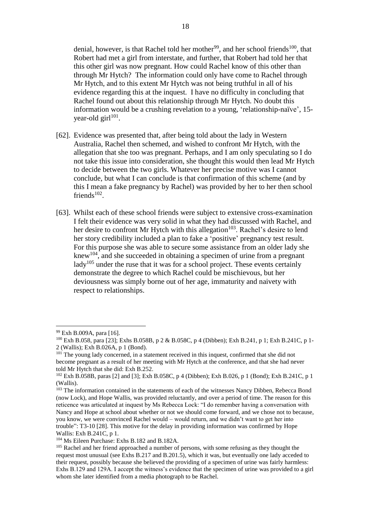denial, however, is that Rachel told her mother<sup>99</sup>, and her school friends<sup>100</sup>, that Robert had met a girl from interstate, and further, that Robert had told her that this other girl was now pregnant. How could Rachel know of this other than through Mr Hytch? The information could only have come to Rachel through Mr Hytch, and to this extent Mr Hytch was not being truthful in all of his evidence regarding this at the inquest. I have no difficulty in concluding that Rachel found out about this relationship through Mr Hytch. No doubt this information would be a crushing revelation to a young, 'relationship-naïve', 15 year-old girl<sup>101</sup>.

- [62]. Evidence was presented that, after being told about the lady in Western Australia, Rachel then schemed, and wished to confront Mr Hytch, with the allegation that she too was pregnant. Perhaps, and I am only speculating so I do not take this issue into consideration, she thought this would then lead Mr Hytch to decide between the two girls. Whatever her precise motive was I cannot conclude, but what I can conclude is that confirmation of this scheme (and by this I mean a fake pregnancy by Rachel) was provided by her to her then school friends $102$ .
- [63]. Whilst each of these school friends were subject to extensive cross-examination I felt their evidence was very solid in what they had discussed with Rachel, and her desire to confront Mr Hytch with this allegation<sup>103</sup>. Rachel's desire to lend her story credibility included a plan to fake a 'positive' pregnancy test result. For this purpose she was able to secure some assistance from an older lady she knew<sup>104</sup>, and she succeeded in obtaining a specimen of urine from a pregnant lady<sup>105</sup> under the ruse that it was for a school project. These events certainly demonstrate the degree to which Rachel could be mischievous, but her deviousness was simply borne out of her age, immaturity and naivety with respect to relationships.

<sup>99</sup> Exh B.009A, para [16].

<sup>100</sup> Exh B.058, para [23]; Exhs B.058B, p 2 & B.058C, p 4 (Dibben); Exh B.241, p 1; Exh B.241C, p 1- 2 (Wallis); Exh B.026A, p 1 (Bond).

<sup>&</sup>lt;sup>101</sup> The young lady concerned, in a statement received in this inquest, confirmed that she did not become pregnant as a result of her meeting with Mr Hytch at the conference, and that she had never told Mr Hytch that she did: Exh B.252.

<sup>&</sup>lt;sup>102</sup> Exh B.058B, paras [2] and [3]; Exh B.058C, p 4 (Dibben); Exh B.026, p 1 (Bond); Exh B.241C, p 1 (Wallis).

<sup>&</sup>lt;sup>103</sup> The information contained in the statements of each of the witnesses Nancy Dibben, Rebecca Bond (now Lock), and Hope Wallis, was provided reluctantly, and over a period of time. The reason for this reticence was articulated at inquest by Ms Rebecca Lock: "I do remember having a conversation with Nancy and Hope at school about whether or not we should come forward, and we chose not to because, you know, we were convinced Rachel would – would return, and we didn't want to get her into trouble": T3-10 [28]. This motive for the delay in providing information was confirmed by Hope Wallis: Exh B.241C, p 1.

<sup>104</sup> Ms Eileen Purchase: Exhs B.182 and B.182A.

<sup>&</sup>lt;sup>105</sup> Rachel and her friend approached a number of persons, with some refusing as they thought the request most unusual (see Exhs B.217 and B.201.5), which it was, but eventually one lady acceded to their request, possibly because she believed the providing of a specimen of urine was fairly harmless: Exhs B.129 and 129A. I accept the witness's evidence that the specimen of urine was provided to a girl whom she later identified from a media photograph to be Rachel.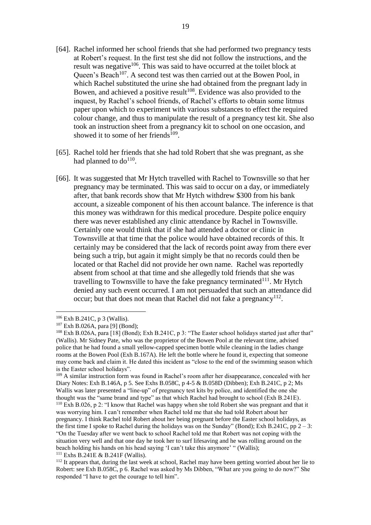- [64]. Rachel informed her school friends that she had performed two pregnancy tests at Robert's request. In the first test she did not follow the instructions, and the result was negative $106$ . This was said to have occurred at the toilet block at Queen's Beach<sup>107</sup>. A second test was then carried out at the Bowen Pool, in which Rachel substituted the urine she had obtained from the pregnant lady in Bowen, and achieved a positive result<sup>108</sup>. Evidence was also provided to the inquest, by Rachel's school friends, of Rachel's efforts to obtain some litmus paper upon which to experiment with various substances to effect the required colour change, and thus to manipulate the result of a pregnancy test kit. She also took an instruction sheet from a pregnancy kit to school on one occasion, and showed it to some of her friends $109$ .
- [65]. Rachel told her friends that she had told Robert that she was pregnant, as she had planned to  $do^{110}$ .
- [66]. It was suggested that Mr Hytch travelled with Rachel to Townsville so that her pregnancy may be terminated. This was said to occur on a day, or immediately after, that bank records show that Mr Hytch withdrew \$300 from his bank account, a sizeable component of his then account balance. The inference is that this money was withdrawn for this medical procedure. Despite police enquiry there was never established any clinic attendance by Rachel in Townsville. Certainly one would think that if she had attended a doctor or clinic in Townsville at that time that the police would have obtained records of this. It certainly may be considered that the lack of records point away from there ever being such a trip, but again it might simply be that no records could then be located or that Rachel did not provide her own name. Rachel was reportedly absent from school at that time and she allegedly told friends that she was travelling to Townsville to have the fake pregnancy terminated $111$ . Mr Hytch denied any such event occurred. I am not persuaded that such an attendance did occur; but that does not mean that Rachel did not fake a pregnancy $112$ .

1

<sup>109</sup> A similar instruction form was found in Rachel's room after her disappearance, concealed with her Diary Notes: Exh B.146A, p 5. See Exhs B.058C, p 4-5 & B.058D (Dibben); Exh B.241C, p 2; Ms Wallis was later presented a "line-up" of pregnancy test kits by police, and identified the one she thought was the "same brand and type" as that which Rachel had brought to school (Exh B.241E). <sup>110</sup> Exh B.026, p 2: "I know that Rachel was happy when she told Robert she was pregnant and that it was worrying him. I can't remember when Rachel told me that she had told Robert about her pregnancy. I think Rachel told Robert about her being pregnant before the Easter school holidays, as the first time I spoke to Rachel during the holidays was on the Sunday" (Bond); Exh B.241C, pp  $2 - 3$ : "On the Tuesday after we went back to school Rachel told me that Robert was not coping with the situation very well and that one day he took her to surf lifesaving and he was rolling around on the

beach holding his hands on his head saying 'I can't take this anymore' " (Wallis);

 $111$  Exhs B.241E & B.241F (Wallis).

<sup>106</sup> Exh B.241C, p 3 (Wallis).

<sup>107</sup> Exh B.026A, para [9] (Bond);

<sup>&</sup>lt;sup>108</sup> Exh B.026A, para [18] (Bond); Exh B.241C, p 3: "The Easter school holidays started just after that" (Wallis). Mr Sidney Pate, who was the proprietor of the Bowen Pool at the relevant time, advised police that he had found a small yellow-capped specimen bottle while cleaning in the ladies change rooms at the Bowen Pool (Exh B.167A). He left the bottle where he found it, expecting that someone may come back and claim it. He dated this incident as "close to the end of the swimming season which is the Easter school holidays".

<sup>&</sup>lt;sup>112</sup> It appears that, during the last week at school, Rachel may have been getting worried about her lie to Robert: see Exh B.058C, p 6. Rachel was asked by Ms Dibben, "What are you going to do now?" She responded "I have to get the courage to tell him".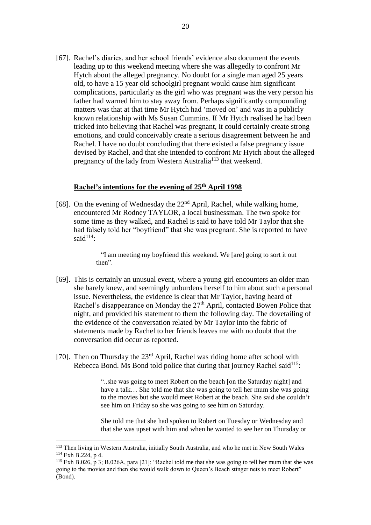[67]. Rachel's diaries, and her school friends' evidence also document the events leading up to this weekend meeting where she was allegedly to confront Mr Hytch about the alleged pregnancy. No doubt for a single man aged 25 years old, to have a 15 year old schoolgirl pregnant would cause him significant complications, particularly as the girl who was pregnant was the very person his father had warned him to stay away from. Perhaps significantly compounding matters was that at that time Mr Hytch had 'moved on' and was in a publicly known relationship with Ms Susan Cummins. If Mr Hytch realised he had been tricked into believing that Rachel was pregnant, it could certainly create strong emotions, and could conceivably create a serious disagreement between he and Rachel. I have no doubt concluding that there existed a false pregnancy issue devised by Rachel, and that she intended to confront Mr Hytch about the alleged pregnancy of the lady from Western Australia<sup>113</sup> that weekend.

## **Rachel's intentions for the evening of 25th April 1998**

[68]. On the evening of Wednesday the  $22<sup>nd</sup>$  April, Rachel, while walking home, encountered Mr Rodney TAYLOR, a local businessman. The two spoke for some time as they walked, and Rachel is said to have told Mr Taylor that she had falsely told her "boyfriend" that she was pregnant. She is reported to have said $114$ :

> "I am meeting my boyfriend this weekend. We [are] going to sort it out then".

- [69]. This is certainly an unusual event, where a young girl encounters an older man she barely knew, and seemingly unburdens herself to him about such a personal issue. Nevertheless, the evidence is clear that Mr Taylor, having heard of Rachel's disappearance on Monday the  $27<sup>th</sup>$  April, contacted Bowen Police that night, and provided his statement to them the following day. The dovetailing of the evidence of the conversation related by Mr Taylor into the fabric of statements made by Rachel to her friends leaves me with no doubt that the conversation did occur as reported.
- [70]. Then on Thursday the  $23<sup>rd</sup>$  April, Rachel was riding home after school with Rebecca Bond. Ms Bond told police that during that journey Rachel said $^{115}$ :

"..she was going to meet Robert on the beach [on the Saturday night] and have a talk... She told me that she was going to tell her mum she was going to the movies but she would meet Robert at the beach. She said she couldn't see him on Friday so she was going to see him on Saturday.

She told me that she had spoken to Robert on Tuesday or Wednesday and that she was upset with him and when he wanted to see her on Thursday or

<sup>113</sup> Then living in Western Australia, initially South Australia, and who he met in New South Wales <sup>114</sup> Exh B.224, p 4.

<sup>115</sup> Exh B.026, p 3; B.026A, para [21]: "Rachel told me that she was going to tell her mum that she was going to the movies and then she would walk down to Queen's Beach stinger nets to meet Robert" (Bond).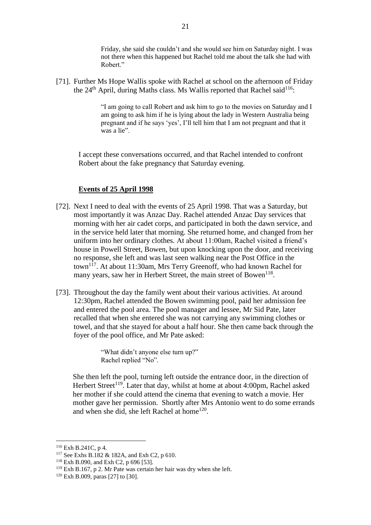Friday, she said she couldn't and she would see him on Saturday night. I was not there when this happened but Rachel told me about the talk she had with Robert."

[71]. Further Ms Hope Wallis spoke with Rachel at school on the afternoon of Friday the  $24<sup>th</sup>$  April, during Maths class. Ms Wallis reported that Rachel said<sup>116</sup>:

> "I am going to call Robert and ask him to go to the movies on Saturday and I am going to ask him if he is lying about the lady in Western Australia being pregnant and if he says 'yes', I'll tell him that I am not pregnant and that it was a lie".

I accept these conversations occurred, and that Rachel intended to confront Robert about the fake pregnancy that Saturday evening.

## **Events of 25 April 1998**

- [72]. Next I need to deal with the events of 25 April 1998. That was a Saturday, but most importantly it was Anzac Day. Rachel attended Anzac Day services that morning with her air cadet corps, and participated in both the dawn service, and in the service held later that morning. She returned home, and changed from her uniform into her ordinary clothes. At about 11:00am, Rachel visited a friend's house in Powell Street, Bowen, but upon knocking upon the door, and receiving no response, she left and was last seen walking near the Post Office in the town<sup>117</sup>. At about 11:30am, Mrs Terry Greenoff, who had known Rachel for many years, saw her in Herbert Street, the main street of Bowen<sup>118</sup>.
- [73]. Throughout the day the family went about their various activities. At around 12:30pm, Rachel attended the Bowen swimming pool, paid her admission fee and entered the pool area. The pool manager and lessee, Mr Sid Pate, later recalled that when she entered she was not carrying any swimming clothes or towel, and that she stayed for about a half hour. She then came back through the foyer of the pool office, and Mr Pate asked:

"What didn't anyone else turn up?" Rachel replied "No".

She then left the pool, turning left outside the entrance door, in the direction of Herbert Street<sup>119</sup>. Later that day, whilst at home at about 4:00pm, Rachel asked her mother if she could attend the cinema that evening to watch a movie. Her mother gave her permission. Shortly after Mrs Antonio went to do some errands and when she did, she left Rachel at home<sup>120</sup>.

<sup>116</sup> Exh B.241C, p 4.

<sup>&</sup>lt;sup>117</sup> See Exhs B.182 & 182A, and Exh C2, p 610.

<sup>118</sup> Exh B.090, and Exh C2, p 696 [53].

<sup>119</sup> Exh B.167, p 2. Mr Pate was certain her hair was dry when she left.

 $120$  Exh B.009, paras [27] to [30].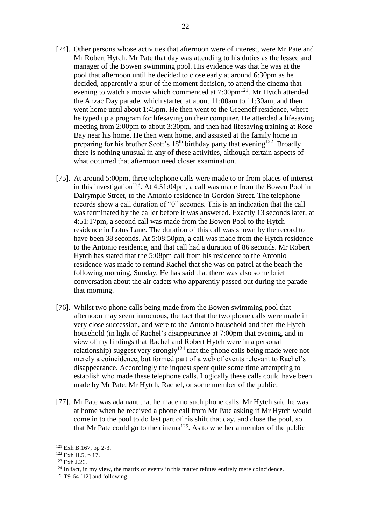- [74]. Other persons whose activities that afternoon were of interest, were Mr Pate and Mr Robert Hytch. Mr Pate that day was attending to his duties as the lessee and manager of the Bowen swimming pool. His evidence was that he was at the pool that afternoon until he decided to close early at around 6:30pm as he decided, apparently a spur of the moment decision, to attend the cinema that evening to watch a movie which commenced at  $7:00 \text{pm}^{121}$ . Mr Hytch attended the Anzac Day parade, which started at about 11:00am to 11:30am, and then went home until about 1:45pm. He then went to the Greenoff residence, where he typed up a program for lifesaving on their computer. He attended a lifesaving meeting from 2:00pm to about 3:30pm, and then had lifesaving training at Rose Bay near his home. He then went home, and assisted at the family home in preparing for his brother Scott's  $18<sup>th</sup>$  birthday party that evening<sup>122</sup>. Broadly there is nothing unusual in any of these activities, although certain aspects of what occurred that afternoon need closer examination.
- [75]. At around 5:00pm, three telephone calls were made to or from places of interest in this investigation<sup>123</sup>. At 4:51:04pm, a call was made from the Bowen Pool in Dalrymple Street, to the Antonio residence in Gordon Street. The telephone records show a call duration of "0" seconds. This is an indication that the call was terminated by the caller before it was answered. Exactly 13 seconds later, at 4:51:17pm, a second call was made from the Bowen Pool to the Hytch residence in Lotus Lane. The duration of this call was shown by the record to have been 38 seconds. At 5:08:50pm, a call was made from the Hytch residence to the Antonio residence, and that call had a duration of 86 seconds. Mr Robert Hytch has stated that the 5:08pm call from his residence to the Antonio residence was made to remind Rachel that she was on patrol at the beach the following morning, Sunday. He has said that there was also some brief conversation about the air cadets who apparently passed out during the parade that morning.
- [76]. Whilst two phone calls being made from the Bowen swimming pool that afternoon may seem innocuous, the fact that the two phone calls were made in very close succession, and were to the Antonio household and then the Hytch household (in light of Rachel's disappearance at 7:00pm that evening, and in view of my findings that Rachel and Robert Hytch were in a personal relationship) suggest very strongly<sup>124</sup> that the phone calls being made were not merely a coincidence, but formed part of a web of events relevant to Rachel's disappearance. Accordingly the inquest spent quite some time attempting to establish who made these telephone calls. Logically these calls could have been made by Mr Pate, Mr Hytch, Rachel, or some member of the public.
- [77]. Mr Pate was adamant that he made no such phone calls. Mr Hytch said he was at home when he received a phone call from Mr Pate asking if Mr Hytch would come in to the pool to do last part of his shift that day, and close the pool, so that Mr Pate could go to the cinema<sup>125</sup>. As to whether a member of the public

<sup>121</sup> Exh B.167, pp 2-3.

 $122$  Exh H.5, p 17.

<sup>123</sup> Exh J.26.

 $124$  In fact, in my view, the matrix of events in this matter refutes entirely mere coincidence.

 $125$  T9-64 [12] and following.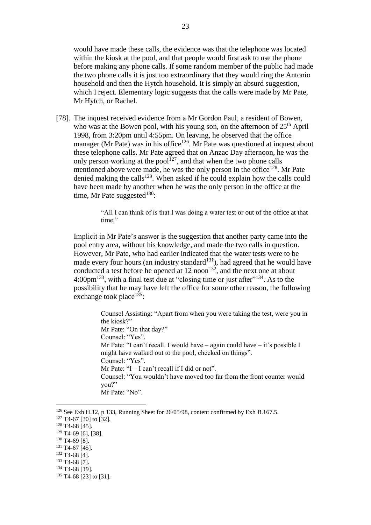would have made these calls, the evidence was that the telephone was located within the kiosk at the pool, and that people would first ask to use the phone before making any phone calls. If some random member of the public had made the two phone calls it is just too extraordinary that they would ring the Antonio household and then the Hytch household. It is simply an absurd suggestion, which I reject. Elementary logic suggests that the calls were made by Mr Pate, Mr Hytch, or Rachel.

[78]. The inquest received evidence from a Mr Gordon Paul, a resident of Bowen, who was at the Bowen pool, with his young son, on the afternoon of  $25<sup>th</sup>$  April 1998, from 3:20pm until 4:55pm. On leaving, he observed that the office manager (Mr Pate) was in his office<sup>126</sup>. Mr Pate was questioned at inquest about these telephone calls. Mr Pate agreed that on Anzac Day afternoon, he was the only person working at the pool<sup>127</sup>, and that when the two phone calls mentioned above were made, he was the only person in the office<sup>128</sup>. Mr Pate denied making the calls<sup>129</sup>. When asked if he could explain how the calls could have been made by another when he was the only person in the office at the time, Mr Pate suggested $130$ :

> "All I can think of is that I was doing a water test or out of the office at that time."

Implicit in Mr Pate's answer is the suggestion that another party came into the pool entry area, without his knowledge, and made the two calls in question. However, Mr Pate, who had earlier indicated that the water tests were to be made every four hours (an industry standard $131$ ), had agreed that he would have conducted a test before he opened at  $12 \text{ noon}^{132}$ , and the next one at about 4:00pm<sup>133</sup>, with a final test due at "closing time or just after"<sup>134</sup>. As to the possibility that he may have left the office for some other reason, the following exchange took place<sup>135</sup>:

> Counsel Assisting: "Apart from when you were taking the test, were you in the kiosk?" Mr Pate: "On that day?" Counsel: "Yes". Mr Pate: "I can't recall. I would have – again could have – it's possible I might have walked out to the pool, checked on things". Counsel: "Yes". Mr Pate: " $I - I$  can't recall if I did or not". Counsel: "You wouldn't have moved too far from the front counter would you?" Mr Pate: "No".

<sup>&</sup>lt;sup>126</sup> See Exh H.12, p 133, Running Sheet for 26/05/98, content confirmed by Exh B.167.5.  $127$  T4-67 [30] to [32].

 $128$  T<sub>4</sub>-68 [45].

<sup>129</sup> T4-69 [6], [38].

<sup>&</sup>lt;sup>130</sup> T4-69 [8].

<sup>&</sup>lt;sup>131</sup> T4-67 [45].

<sup>&</sup>lt;sup>132</sup> T4-68 [4].

<sup>133</sup> T4-68 [7].

<sup>&</sup>lt;sup>134</sup> T<sub>4</sub>-68 [19].

<sup>&</sup>lt;sup>135</sup> T4-68 [23] to [31].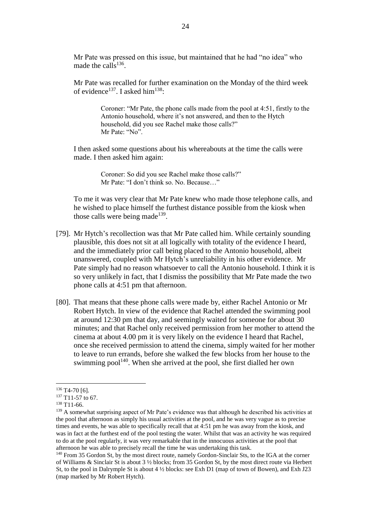Mr Pate was pressed on this issue, but maintained that he had "no idea" who made the calls<sup>136</sup>.

Mr Pate was recalled for further examination on the Monday of the third week of evidence<sup>137</sup>. I asked him<sup>138</sup>:

> Coroner: "Mr Pate, the phone calls made from the pool at 4:51, firstly to the Antonio household, where it's not answered, and then to the Hytch household, did you see Rachel make those calls?" Mr Pate: "No".

I then asked some questions about his whereabouts at the time the calls were made. I then asked him again:

> Coroner: So did you see Rachel make those calls?" Mr Pate: "I don't think so. No. Because…"

To me it was very clear that Mr Pate knew who made those telephone calls, and he wished to place himself the furthest distance possible from the kiosk when those calls were being made<sup>139</sup>.

- [79]. Mr Hytch's recollection was that Mr Pate called him. While certainly sounding plausible, this does not sit at all logically with totality of the evidence I heard, and the immediately prior call being placed to the Antonio household, albeit unanswered, coupled with Mr Hytch's unreliability in his other evidence. Mr Pate simply had no reason whatsoever to call the Antonio household. I think it is so very unlikely in fact, that I dismiss the possibility that Mr Pate made the two phone calls at 4:51 pm that afternoon.
- [80]. That means that these phone calls were made by, either Rachel Antonio or Mr Robert Hytch. In view of the evidence that Rachel attended the swimming pool at around 12:30 pm that day, and seemingly waited for someone for about 30 minutes; and that Rachel only received permission from her mother to attend the cinema at about 4.00 pm it is very likely on the evidence I heard that Rachel, once she received permission to attend the cinema, simply waited for her mother to leave to run errands, before she walked the few blocks from her house to the swimming  $pool<sup>140</sup>$ . When she arrived at the pool, she first dialled her own

 $136$  T4-70 [6].

<sup>&</sup>lt;sup>137</sup> T11-57 to 67.

 $138$  T<sub>11</sub>-66.

<sup>&</sup>lt;sup>139</sup> A somewhat surprising aspect of Mr Pate's evidence was that although he described his activities at the pool that afternoon as simply his usual activities at the pool, and he was very vague as to precise times and events, he was able to specifically recall that at 4:51 pm he was away from the kiosk, and was in fact at the furthest end of the pool testing the water. Whilst that was an activity he was required to do at the pool regularly, it was very remarkable that in the innocuous activities at the pool that afternoon he was able to precisely recall the time he was undertaking this task.

<sup>&</sup>lt;sup>140</sup> From 35 Gordon St, by the most direct route, namely Gordon-Sinclair Sts, to the IGA at the corner of Williams & Sinclair St is about 3 ½ blocks; from 35 Gordon St, by the most direct route via Herbert St, to the pool in Dalrymple St is about 4 ½ blocks: see Exh D1 (map of town of Bowen), and Exh J23 (map marked by Mr Robert Hytch).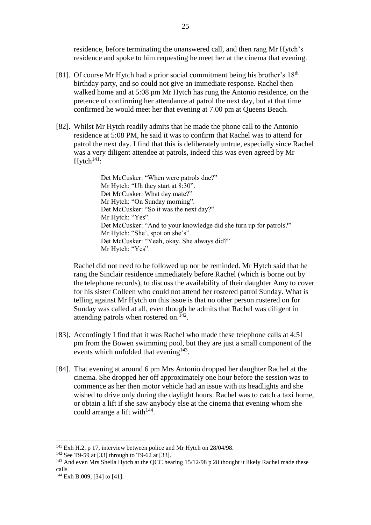residence, before terminating the unanswered call, and then rang Mr Hytch's residence and spoke to him requesting he meet her at the cinema that evening.

- [81]. Of course Mr Hytch had a prior social commitment being his brother's  $18<sup>th</sup>$ birthday party, and so could not give an immediate response. Rachel then walked home and at 5:08 pm Mr Hytch has rung the Antonio residence, on the pretence of confirming her attendance at patrol the next day, but at that time confirmed he would meet her that evening at 7.00 pm at Queens Beach.
- [82]. Whilst Mr Hytch readily admits that he made the phone call to the Antonio residence at 5:08 PM, he said it was to confirm that Rachel was to attend for patrol the next day. I find that this is deliberately untrue, especially since Rachel was a very diligent attendee at patrols, indeed this was even agreed by Mr  $H$ vtch<sup>141</sup>:

Det McCusker: "When were patrols due?" Mr Hytch: "Uh they start at 8:30". Det McCusker: What day mate?" Mr Hytch: "On Sunday morning". Det McCusker: "So it was the next day?" Mr Hytch: "Yes". Det McCusker: "And to your knowledge did she turn up for patrols?" Mr Hytch: "She', spot on she's". Det McCusker: "Yeah, okay. She always did?" Mr Hytch: "Yes".

Rachel did not need to be followed up nor be reminded. Mr Hytch said that he rang the Sinclair residence immediately before Rachel (which is borne out by the telephone records), to discuss the availability of their daughter Amy to cover for his sister Colleen who could not attend her rostered patrol Sunday. What is telling against Mr Hytch on this issue is that no other person rostered on for Sunday was called at all, even though he admits that Rachel was diligent in attending patrols when rostered on. $142$ .

- [83]. Accordingly I find that it was Rachel who made these telephone calls at 4:51 pm from the Bowen swimming pool, but they are just a small component of the events which unfolded that evening $143$ .
- [84]. That evening at around 6 pm Mrs Antonio dropped her daughter Rachel at the cinema. She dropped her off approximately one hour before the session was to commence as her then motor vehicle had an issue with its headlights and she wished to drive only during the daylight hours. Rachel was to catch a taxi home, or obtain a lift if she saw anybody else at the cinema that evening whom she could arrange a lift with<sup>144</sup>.

<sup>&</sup>lt;sup>141</sup> Exh H.2, p 17, interview between police and Mr Hytch on 28/04/98.

<sup>&</sup>lt;sup>142</sup> See T9-59 at [33] through to T9-62 at [33].

<sup>&</sup>lt;sup>143</sup> And even Mrs Sheila Hytch at the QCC hearing 15/12/98 p 28 thought it likely Rachel made these calls

<sup>144</sup> Exh B.009, [34] to [41].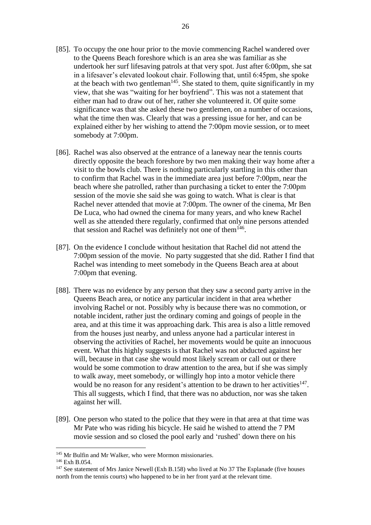- [85]. To occupy the one hour prior to the movie commencing Rachel wandered over to the Queens Beach foreshore which is an area she was familiar as she undertook her surf lifesaving patrols at that very spot. Just after 6:00pm, she sat in a lifesaver's elevated lookout chair. Following that, until 6:45pm, she spoke at the beach with two gentleman<sup>145</sup>. She stated to them, quite significantly in my view, that she was "waiting for her boyfriend". This was not a statement that either man had to draw out of her, rather she volunteered it. Of quite some significance was that she asked these two gentlemen, on a number of occasions, what the time then was. Clearly that was a pressing issue for her, and can be explained either by her wishing to attend the 7:00pm movie session, or to meet somebody at 7:00pm.
- [86]. Rachel was also observed at the entrance of a laneway near the tennis courts directly opposite the beach foreshore by two men making their way home after a visit to the bowls club. There is nothing particularly startling in this other than to confirm that Rachel was in the immediate area just before 7:00pm, near the beach where she patrolled, rather than purchasing a ticket to enter the 7:00pm session of the movie she said she was going to watch. What is clear is that Rachel never attended that movie at 7:00pm. The owner of the cinema, Mr Ben De Luca, who had owned the cinema for many years, and who knew Rachel well as she attended there regularly, confirmed that only nine persons attended that session and Rachel was definitely not one of them $146$ .
- [87]. On the evidence I conclude without hesitation that Rachel did not attend the 7:00pm session of the movie. No party suggested that she did. Rather I find that Rachel was intending to meet somebody in the Queens Beach area at about 7:00pm that evening.
- [88]. There was no evidence by any person that they saw a second party arrive in the Queens Beach area, or notice any particular incident in that area whether involving Rachel or not. Possibly why is because there was no commotion, or notable incident, rather just the ordinary coming and goings of people in the area, and at this time it was approaching dark. This area is also a little removed from the houses just nearby, and unless anyone had a particular interest in observing the activities of Rachel, her movements would be quite an innocuous event. What this highly suggests is that Rachel was not abducted against her will, because in that case she would most likely scream or call out or there would be some commotion to draw attention to the area, but if she was simply to walk away, meet somebody, or willingly hop into a motor vehicle there would be no reason for any resident's attention to be drawn to her activities<sup>147</sup>. This all suggests, which I find, that there was no abduction, nor was she taken against her will.
- [89]. One person who stated to the police that they were in that area at that time was Mr Pate who was riding his bicycle. He said he wished to attend the 7 PM movie session and so closed the pool early and 'rushed' down there on his

<sup>&</sup>lt;sup>145</sup> Mr Bulfin and Mr Walker, who were Mormon missionaries.

<sup>146</sup> Exh B.054.

<sup>&</sup>lt;sup>147</sup> See statement of Mrs Janice Newell (Exh B.158) who lived at No 37 The Esplanade (five houses north from the tennis courts) who happened to be in her front yard at the relevant time.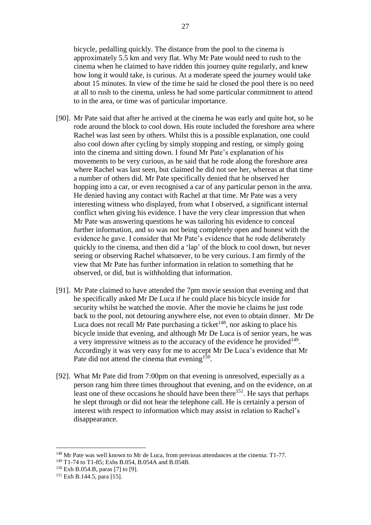bicycle, pedalling quickly. The distance from the pool to the cinema is approximately 5.5 km and very flat. Why Mr Pate would need to rush to the cinema when he claimed to have ridden this journey quite regularly, and knew how long it would take, is curious. At a moderate speed the journey would take about 15 minutes. In view of the time he said he closed the pool there is no need at all to rush to the cinema, unless he had some particular commitment to attend to in the area, or time was of particular importance.

- [90]. Mr Pate said that after he arrived at the cinema he was early and quite hot, so he rode around the block to cool down. His route included the foreshore area where Rachel was last seen by others. Whilst this is a possible explanation, one could also cool down after cycling by simply stopping and resting, or simply going into the cinema and sitting down. I found Mr Pate's explanation of his movements to be very curious, as he said that he rode along the foreshore area where Rachel was last seen, but claimed he did not see her, whereas at that time a number of others did. Mr Pate specifically denied that he observed her hopping into a car, or even recognised a car of any particular person in the area. He denied having any contact with Rachel at that time. Mr Pate was a very interesting witness who displayed, from what I observed, a significant internal conflict when giving his evidence. I have the very clear impression that when Mr Pate was answering questions he was tailoring his evidence to conceal further information, and so was not being completely open and honest with the evidence he gave. I consider that Mr Pate's evidence that he rode deliberately quickly to the cinema, and then did a 'lap' of the block to cool down, but never seeing or observing Rachel whatsoever, to be very curious. I am firmly of the view that Mr Pate has further information in relation to something that he observed, or did, but is withholding that information.
- [91]. Mr Pate claimed to have attended the 7pm movie session that evening and that he specifically asked Mr De Luca if he could place his bicycle inside for security whilst he watched the movie. After the movie he claims he just rode back to the pool, not detouring anywhere else, not even to obtain dinner. Mr De Luca does not recall Mr Pate purchasing a ticket<sup> $148$ </sup>, nor asking to place his bicycle inside that evening, and although Mr De Luca is of senior years, he was a very impressive witness as to the accuracy of the evidence he provided $149$ . Accordingly it was very easy for me to accept Mr De Luca's evidence that Mr Pate did not attend the cinema that evening<sup>150</sup>.
- [92]. What Mr Pate did from 7:00pm on that evening is unresolved, especially as a person rang him three times throughout that evening, and on the evidence, on at least one of these occasions he should have been there<sup>151</sup>. He says that perhaps he slept through or did not hear the telephone call. He is certainly a person of interest with respect to information which may assist in relation to Rachel's disappearance.

<sup>&</sup>lt;sup>148</sup> Mr Pate was well known to Mr de Luca, from previous attendances at the cinema: T1-77. <sup>149</sup> T1-74 to T1-85; Exhs B.054, B.054A and B.054B.

<sup>150</sup> Exh B.054.B, paras [7] to [9].

<sup>151</sup> Exh B.144.5, para [15].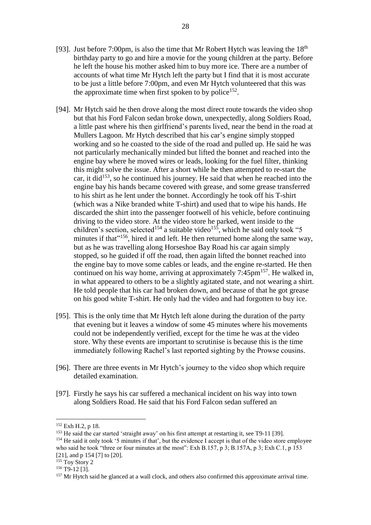- [93]. Just before 7:00pm, is also the time that Mr Robert Hytch was leaving the  $18<sup>th</sup>$ birthday party to go and hire a movie for the young children at the party. Before he left the house his mother asked him to buy more ice. There are a number of accounts of what time Mr Hytch left the party but I find that it is most accurate to be just a little before 7:00pm, and even Mr Hytch volunteered that this was the approximate time when first spoken to by police<sup>152</sup>.
- [94]. Mr Hytch said he then drove along the most direct route towards the video shop but that his Ford Falcon sedan broke down, unexpectedly, along Soldiers Road, a little past where his then girlfriend's parents lived, near the bend in the road at Mullers Lagoon. Mr Hytch described that his car's engine simply stopped working and so he coasted to the side of the road and pulled up. He said he was not particularly mechanically minded but lifted the bonnet and reached into the engine bay where he moved wires or leads, looking for the fuel filter, thinking this might solve the issue. After a short while he then attempted to re-start the car, it did<sup>153</sup>, so he continued his journey. He said that when he reached into the engine bay his hands became covered with grease, and some grease transferred to his shirt as he lent under the bonnet. Accordingly he took off his T-shirt (which was a Nike branded white T-shirt) and used that to wipe his hands. He discarded the shirt into the passenger footwell of his vehicle, before continuing driving to the video store. At the video store he parked, went inside to the children's section, selected<sup>154</sup> a suitable video<sup>155</sup>, which he said only took "5 minutes if that"<sup>156</sup>, hired it and left. He then returned home along the same way, but as he was travelling along Horseshoe Bay Road his car again simply stopped, so he guided if off the road, then again lifted the bonnet reached into the engine bay to move some cables or leads, and the engine re-started. He then continued on his way home, arriving at approximately 7:45pm<sup>157</sup>. He walked in, in what appeared to others to be a slightly agitated state, and not wearing a shirt. He told people that his car had broken down, and because of that he got grease on his good white T-shirt. He only had the video and had forgotten to buy ice.
- [95]. This is the only time that Mr Hytch left alone during the duration of the party that evening but it leaves a window of some 45 minutes where his movements could not be independently verified, except for the time he was at the video store. Why these events are important to scrutinise is because this is the time immediately following Rachel's last reported sighting by the Prowse cousins.
- [96]. There are three events in Mr Hytch's journey to the video shop which require detailed examination.
- [97]. Firstly he says his car suffered a mechanical incident on his way into town along Soldiers Road. He said that his Ford Falcon sedan suffered an

<sup>152</sup> Exh H.2, p 18.

<sup>&</sup>lt;sup>153</sup> He said the car started 'straight away' on his first attempt at restarting it, see T9-11 [39]. <sup>154</sup> He said it only took '5 minutes if that', but the evidence I accept is that of the video store employee who said he took "three or four minutes at the most": Exh B.157, p 3; B.157A, p 3; Exh C.1, p 153 [21], and p 154 [7] to [20].

<sup>&</sup>lt;sup>155</sup> Toy Story 2

 $156$  T9-12 [3].

<sup>&</sup>lt;sup>157</sup> Mr Hytch said he glanced at a wall clock, and others also confirmed this approximate arrival time.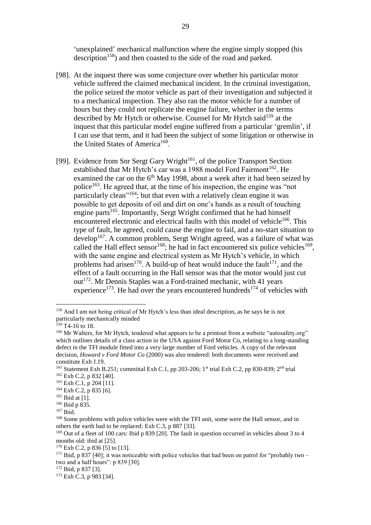'unexplained' mechanical malfunction where the engine simply stopped (his description<sup>158</sup>) and then coasted to the side of the road and parked.

- [98]. At the inquest there was some conjecture over whether his particular motor vehicle suffered the claimed mechanical incident. In the criminal investigation, the police seized the motor vehicle as part of their investigation and subjected it to a mechanical inspection. They also ran the motor vehicle for a number of hours but they could not replicate the engine failure, whether in the terms described by Mr Hytch or otherwise. Counsel for Mr Hytch said<sup>159</sup> at the inquest that this particular model engine suffered from a particular 'gremlin', if I can use that term, and it had been the subject of some litigation or otherwise in the United States of America<sup>160</sup>.
- [99]. Evidence from Snr Sergt Gary Wright<sup>161</sup>, of the police Transport Section established that Mr Hytch's car was a 1988 model Ford Fairmont<sup>162</sup>. He examined the car on the  $6<sup>th</sup>$  May 1998, about a week after it had been seized by police<sup>163</sup>. He agreed that, at the time of his inspection, the engine was "not particularly clean"<sup>164</sup>; but that even with a relatively clean engine it was possible to get deposits of oil and dirt on one's hands as a result of touching engine parts<sup>165</sup>. Importantly, Sergt Wright confirmed that he had himself encountered electronic and electrical faults with this model of vehicle<sup>166</sup>. This type of fault, he agreed, could cause the engine to fail, and a no-start situation to develop<sup>167</sup>. A common problem, Sergt Wright agreed, was a failure of what was called the Hall effect sensor $168$ ; he had in fact encountered six police vehicles $169$ , with the same engine and electrical system as Mr Hytch's vehicle, in which problems had arisen<sup>170</sup>. A build-up of heat would induce the fault<sup>171</sup>, and the effect of a fault occurring in the Hall sensor was that the motor would just cut out<sup>172</sup>. Mr Dennis Staples was a Ford-trained mechanic, with 41 years experience<sup>173</sup>. He had over the years encountered hundreds<sup>174</sup> of vehicles with

<sup>158</sup> And I am not being critical of Mr Hytch's less than ideal description, as he says he is not particularly mechanically minded

 $159$  T4-16 to 18.

<sup>&</sup>lt;sup>160</sup> Mr Walters, for Mr Hytch, tendered what appears to be a printout from a website "autosafety.org" which outlines details of a class action in the USA against Ford Motor Co, relating to a long-standing defect in the TFI module fitted into a very large number of Ford vehicles. A copy of the relevant decision, *Howard v Ford Motor Co* (2000) was also tendered: both documents were received and constitute Exh J.19.

<sup>&</sup>lt;sup>161</sup> Statement Exh B.251; committal Exh C.1, pp 203-206; 1<sup>st</sup> trial Exh C.2, pp 830-839; 2<sup>nd</sup> trial <sup>162</sup> Exh C.2, p 832 [40].

 $163$  Exh C.1, p 204 [11].

<sup>164</sup> Exh C.2, p 835 [6].

 $165$  Ibid at [1].

<sup>166</sup> Ibid p 835.

<sup>167</sup> Ibid.

<sup>&</sup>lt;sup>168</sup> Some problems with police vehicles were with the TFI unit, some were the Hall sensor, and in others the earth had to be replaced: Exh C.3, p 887 [33].

<sup>&</sup>lt;sup>169</sup> Out of a fleet of 100 cars: Ibid p 839 [20]. The fault in question occurred in vehicles about 3 to 4 months old: ibid at [25].

 $170$  Exh C.2, p 836 [5] to [13].

<sup>&</sup>lt;sup>171</sup> Ibid. p 837 [40]; it was noticeable with police vehicles that had been on patrol for "probably two – two and a half hours": p 839 [30].

<sup>172</sup> Ibid, p 837 [3].

 $173$  Exh C.3, p 983 [34].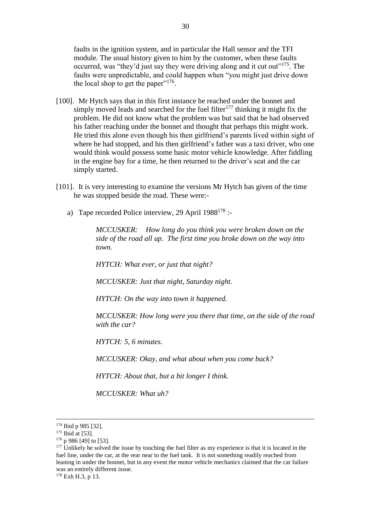faults in the ignition system, and in particular the Hall sensor and the TFI module. The usual history given to him by the customer, when these faults occurred, was "they'd just say they were driving along and it cut out"<sup>175</sup>. The faults were unpredictable, and could happen when "you might just drive down the local shop to get the paper" $176$ .

- [100]. Mr Hytch says that in this first instance he reached under the bonnet and simply moved leads and searched for the fuel filter<sup>177</sup> thinking it might fix the problem. He did not know what the problem was but said that he had observed his father reaching under the bonnet and thought that perhaps this might work. He tried this alone even though his then girlfriend's parents lived within sight of where he had stopped, and his then girlfriend's father was a taxi driver, who one would think would possess some basic motor vehicle knowledge. After fiddling in the engine bay for a time, he then returned to the driver's seat and the car simply started.
- [101]. It is very interesting to examine the versions Mr Hytch has given of the time he was stopped beside the road. These were:
	- a) Tape recorded Police interview, 29 April  $1988^{178}$  :-

*MCCUSKER: How long do you think you were broken down on the side of the road all up. The first time you broke down on the way into town.*

*HYTCH: What ever, or just that night?*

*MCCUSKER: Just that night, Saturday night.*

*HYTCH: On the way into town it happened.*

*MCCUSKER: How long were you there that time, on the side of the road with the car?*

*HYTCH: 5, 6 minutes.*

*MCCUSKER: Okay, and what about when you come back?*

*HYTCH: About that, but a bit longer I think.*

*MCCUSKER: What uh?*

<sup>174</sup> Ibid p 985 [32].

 $175$  Ibid at [53].

 $176$  p 986 [49] to [53].

 $177$  Unlikely he solved the issue by touching the fuel filter as my experience is that it is located in the fuel line, under the car, at the rear near to the fuel tank. It is not something readily reached from leaning in under the bonnet, but in any event the motor vehicle mechanics claimed that the car failure was an entirely different issue.

<sup>&</sup>lt;sup>178</sup> Exh H.3, p 13.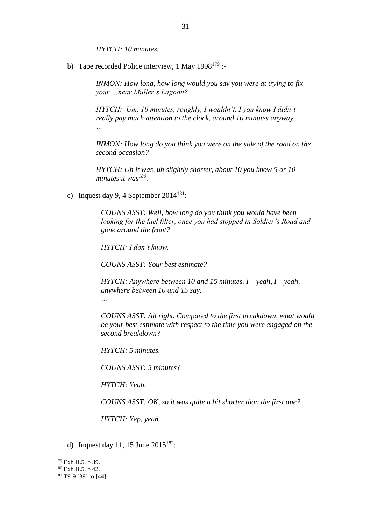*HYTCH: 10 minutes.* 

b) Tape recorded Police interview, 1 May  $1998^{179}$  :-

*INMON: How long, how long would you say you were at trying to fix your …near Muller's Lagoon?*

*HYTCH: Um, 10 minutes, roughly, I wouldn't, I you know I didn't really pay much attention to the clock, around 10 minutes anyway …*

*INMON: How long do you think you were on the side of the road on the second occasion?*

*HYTCH: Uh it was, uh slightly shorter, about 10 you know 5 or 10 minutes it was<sup>180</sup> .*

c) Inquest day 9, 4 September  $2014^{181}$ :

*COUNS ASST: Well, how long do you think you would have been looking for the fuel filter, once you had stopped in Soldier's Road and gone around the front?*

*HYTCH: I don't know.*

*COUNS ASST: Your best estimate?*

*HYTCH: Anywhere between 10 and 15 minutes. I – yeah, I – yeah, anywhere between 10 and 15 say.*

*…*

*COUNS ASST: All right. Compared to the first breakdown, what would be your best estimate with respect to the time you were engaged on the second breakdown?*

*HYTCH: 5 minutes.*

*COUNS ASST: 5 minutes?*

*HYTCH: Yeah.*

*COUNS ASST: OK, so it was quite a bit shorter than the first one?*

*HYTCH: Yep, yeah.*

d) Inquest day 11, 15 June  $2015^{182}$ :

<sup>&</sup>lt;sup>179</sup> Exh H.5, p 39.

 $180$  Exh H.5, p 42.

 $181$  T9-9 [39] to [44].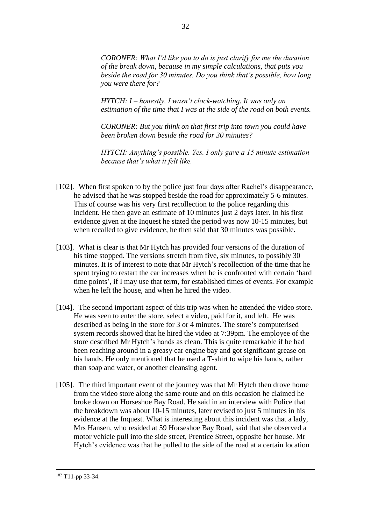*CORONER: What I'd like you to do is just clarify for me the duration of the break down, because in my simple calculations, that puts you beside the road for 30 minutes. Do you think that's possible, how long you were there for?*

*HYTCH: I – honestly, I wasn't clock-watching. It was only an estimation of the time that I was at the side of the road on both events.*

*CORONER: But you think on that first trip into town you could have been broken down beside the road for 30 minutes?*

*HYTCH: Anything's possible. Yes. I only gave a 15 minute estimation because that's what it felt like.*

- [102]. When first spoken to by the police just four days after Rachel's disappearance, he advised that he was stopped beside the road for approximately 5-6 minutes. This of course was his very first recollection to the police regarding this incident. He then gave an estimate of 10 minutes just 2 days later. In his first evidence given at the Inquest he stated the period was now 10-15 minutes, but when recalled to give evidence, he then said that 30 minutes was possible.
- [103]. What is clear is that Mr Hytch has provided four versions of the duration of his time stopped. The versions stretch from five, six minutes, to possibly 30 minutes. It is of interest to note that Mr Hytch's recollection of the time that he spent trying to restart the car increases when he is confronted with certain 'hard time points', if I may use that term, for established times of events. For example when he left the house, and when he hired the video.
- [104]. The second important aspect of this trip was when he attended the video store. He was seen to enter the store, select a video, paid for it, and left. He was described as being in the store for 3 or 4 minutes. The store's computerised system records showed that he hired the video at 7:39pm. The employee of the store described Mr Hytch's hands as clean. This is quite remarkable if he had been reaching around in a greasy car engine bay and got significant grease on his hands. He only mentioned that he used a T-shirt to wipe his hands, rather than soap and water, or another cleansing agent.
- [105]. The third important event of the journey was that Mr Hytch then drove home from the video store along the same route and on this occasion he claimed he broke down on Horseshoe Bay Road. He said in an interview with Police that the breakdown was about 10-15 minutes, later revised to just 5 minutes in his evidence at the Inquest. What is interesting about this incident was that a lady, Mrs Hansen, who resided at 59 Horseshoe Bay Road, said that she observed a motor vehicle pull into the side street, Prentice Street, opposite her house. Mr Hytch's evidence was that he pulled to the side of the road at a certain location

<sup>182</sup> T11-pp 33-34.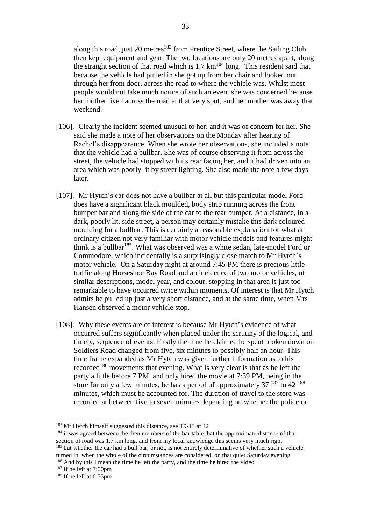along this road, just 20 metres<sup>183</sup> from Prentice Street, where the Sailing Club then kept equipment and gear. The two locations are only 20 metres apart, along the straight section of that road which is  $1.7 \text{ km}^{184}$  long. This resident said that because the vehicle had pulled in she got up from her chair and looked out through her front door, across the road to where the vehicle was. Whilst most people would not take much notice of such an event she was concerned because her mother lived across the road at that very spot, and her mother was away that weekend.

- [106]. Clearly the incident seemed unusual to her, and it was of concern for her. She said she made a note of her observations on the Monday after hearing of Rachel's disappearance. When she wrote her observations, she included a note that the vehicle had a bullbar. She was of course observing it from across the street, the vehicle had stopped with its rear facing her, and it had driven into an area which was poorly lit by street lighting. She also made the note a few days later.
- [107]. Mr Hytch's car does not have a bullbar at all but this particular model Ford does have a significant black moulded, body strip running across the front bumper bar and along the side of the car to the rear bumper. At a distance, in a dark, poorly lit, side street, a person may certainly mistake this dark coloured moulding for a bullbar. This is certainly a reasonable explanation for what an ordinary citizen not very familiar with motor vehicle models and features might think is a bullbar<sup>185</sup>. What was observed was a white sedan, late-model Ford or Commodore, which incidentally is a surprisingly close match to Mr Hytch's motor vehicle. On a Saturday night at around 7:45 PM there is precious little traffic along Horseshoe Bay Road and an incidence of two motor vehicles, of similar descriptions, model year, and colour, stopping in that area is just too remarkable to have occurred twice within moments. Of interest is that Mr Hytch admits he pulled up just a very short distance, and at the same time, when Mrs Hansen observed a motor vehicle stop.
- [108]. Why these events are of interest is because Mr Hytch's evidence of what occurred suffers significantly when placed under the scrutiny of the logical, and timely, sequence of events. Firstly the time he claimed he spent broken down on Soldiers Road changed from five, six minutes to possibly half an hour. This time frame expanded as Mr Hytch was given further information as to his recorded<sup>186</sup> movements that evening. What is very clear is that as he left the party a little before 7 PM, and only hired the movie at 7:39 PM, being in the store for only a few minutes, he has a period of approximately  $37^{187}$  to  $42^{188}$ minutes, which must be accounted for. The duration of travel to the store was recorded at between five to seven minutes depending on whether the police or

<sup>&</sup>lt;sup>183</sup> Mr Hytch himself suggested this distance, see T9-13 at 42

<sup>&</sup>lt;sup>184</sup> it was agreed between the then members of the bar table that the approximate distance of that section of road was 1.7 km long, and from my local knowledge this seems very much right <sup>185</sup> but whether the car had a bull bar, or not, is not entirely determinative of whether such a vehicle turned in, when the whole of the circumstances are considered, on that quiet Saturday evening <sup>186</sup> And by this I mean the time he left the party, and the time he hired the video

 $187$  If he left at 7:00pm

 $188$  If he left at 6:55pm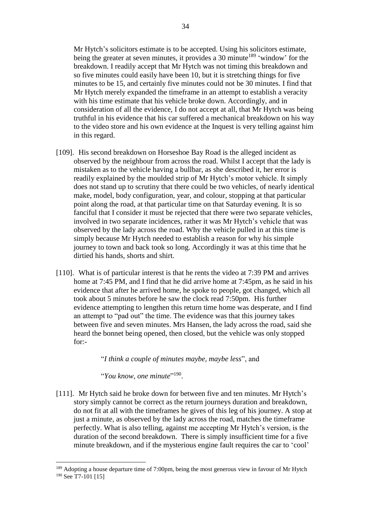Mr Hytch's solicitors estimate is to be accepted. Using his solicitors estimate, being the greater at seven minutes, it provides a 30 minute<sup>189</sup> 'window' for the breakdown. I readily accept that Mr Hytch was not timing this breakdown and so five minutes could easily have been 10, but it is stretching things for five minutes to be 15, and certainly five minutes could not be 30 minutes. I find that Mr Hytch merely expanded the timeframe in an attempt to establish a veracity with his time estimate that his vehicle broke down. Accordingly, and in consideration of all the evidence, I do not accept at all, that Mr Hytch was being truthful in his evidence that his car suffered a mechanical breakdown on his way to the video store and his own evidence at the Inquest is very telling against him in this regard.

- [109]. His second breakdown on Horseshoe Bay Road is the alleged incident as observed by the neighbour from across the road. Whilst I accept that the lady is mistaken as to the vehicle having a bullbar, as she described it, her error is readily explained by the moulded strip of Mr Hytch's motor vehicle. It simply does not stand up to scrutiny that there could be two vehicles, of nearly identical make, model, body configuration, year, and colour, stopping at that particular point along the road, at that particular time on that Saturday evening. It is so fanciful that I consider it must be rejected that there were two separate vehicles, involved in two separate incidences, rather it was Mr Hytch's vehicle that was observed by the lady across the road. Why the vehicle pulled in at this time is simply because Mr Hytch needed to establish a reason for why his simple journey to town and back took so long. Accordingly it was at this time that he dirtied his hands, shorts and shirt.
- [110]. What is of particular interest is that he rents the video at 7:39 PM and arrives home at 7:45 PM, and I find that he did arrive home at 7:45pm, as he said in his evidence that after he arrived home, he spoke to people, got changed, which all took about 5 minutes before he saw the clock read 7:50pm. His further evidence attempting to lengthen this return time home was desperate, and I find an attempt to "pad out" the time. The evidence was that this journey takes between five and seven minutes. Mrs Hansen, the lady across the road, said she heard the bonnet being opened, then closed, but the vehicle was only stopped for:-

"*I think a couple of minutes maybe, maybe less*", and

"*You know, one minute*" 190 .

1

[111]. Mr Hytch said he broke down for between five and ten minutes. Mr Hytch's story simply cannot be correct as the return journeys duration and breakdown, do not fit at all with the timeframes he gives of this leg of his journey. A stop at just a minute, as observed by the lady across the road, matches the timeframe perfectly. What is also telling, against me accepting Mr Hytch's version, is the duration of the second breakdown. There is simply insufficient time for a five minute breakdown, and if the mysterious engine fault requires the car to 'cool'

<sup>&</sup>lt;sup>189</sup> Adopting a house departure time of 7:00pm, being the most generous view in favour of Mr Hytch <sup>190</sup> See T7-101 [15]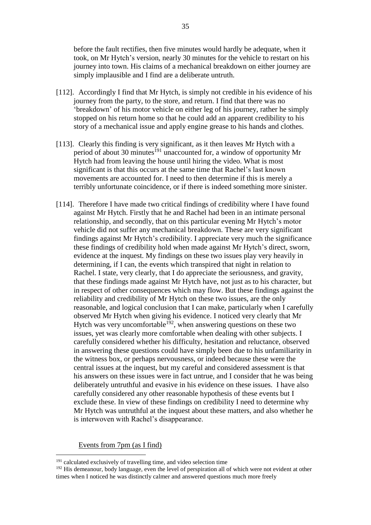before the fault rectifies, then five minutes would hardly be adequate, when it took, on Mr Hytch's version, nearly 30 minutes for the vehicle to restart on his journey into town. His claims of a mechanical breakdown on either journey are simply implausible and I find are a deliberate untruth.

- [112]. Accordingly I find that Mr Hytch, is simply not credible in his evidence of his journey from the party, to the store, and return. I find that there was no 'breakdown' of his motor vehicle on either leg of his journey, rather he simply stopped on his return home so that he could add an apparent credibility to his story of a mechanical issue and apply engine grease to his hands and clothes.
- [113]. Clearly this finding is very significant, as it then leaves Mr Hytch with a period of about 30 minutes<sup>191</sup> unaccounted for, a window of opportunity Mr Hytch had from leaving the house until hiring the video. What is most significant is that this occurs at the same time that Rachel's last known movements are accounted for. I need to then determine if this is merely a terribly unfortunate coincidence, or if there is indeed something more sinister.
- [114]. Therefore I have made two critical findings of credibility where I have found against Mr Hytch. Firstly that he and Rachel had been in an intimate personal relationship, and secondly, that on this particular evening Mr Hytch's motor vehicle did not suffer any mechanical breakdown. These are very significant findings against Mr Hytch's credibility. I appreciate very much the significance these findings of credibility hold when made against Mr Hytch's direct, sworn, evidence at the inquest. My findings on these two issues play very heavily in determining, if I can, the events which transpired that night in relation to Rachel. I state, very clearly, that I do appreciate the seriousness, and gravity, that these findings made against Mr Hytch have, not just as to his character, but in respect of other consequences which may flow. But these findings against the reliability and credibility of Mr Hytch on these two issues, are the only reasonable, and logical conclusion that I can make, particularly when I carefully observed Mr Hytch when giving his evidence. I noticed very clearly that Mr Hytch was very uncomfortable  $192$ , when answering questions on these two issues, yet was clearly more comfortable when dealing with other subjects. I carefully considered whether his difficulty, hesitation and reluctance, observed in answering these questions could have simply been due to his unfamiliarity in the witness box, or perhaps nervousness, or indeed because these were the central issues at the inquest, but my careful and considered assessment is that his answers on these issues were in fact untrue, and I consider that he was being deliberately untruthful and evasive in his evidence on these issues. I have also carefully considered any other reasonable hypothesis of these events but I exclude these. In view of these findings on credibility I need to determine why Mr Hytch was untruthful at the inquest about these matters, and also whether he is interwoven with Rachel's disappearance.

Events from 7pm (as I find)

 $191$  calculated exclusively of travelling time, and video selection time

<sup>&</sup>lt;sup>192</sup> His demeanour, body language, even the level of perspiration all of which were not evident at other times when I noticed he was distinctly calmer and answered questions much more freely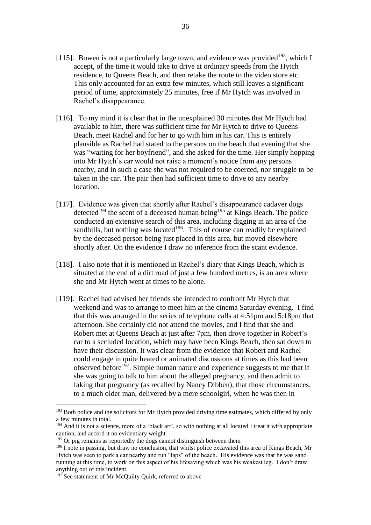- [115]. Bowen is not a particularly large town, and evidence was provided<sup>193</sup>, which I accept, of the time it would take to drive at ordinary speeds from the Hytch residence, to Queens Beach, and then retake the route to the video store etc. This only accounted for an extra few minutes, which still leaves a significant period of time, approximately 25 minutes, free if Mr Hytch was involved in Rachel's disappearance.
- [116]. To my mind it is clear that in the unexplained 30 minutes that Mr Hytch had available to him, there was sufficient time for Mr Hytch to drive to Queens Beach, meet Rachel and for her to go with him in his car. This is entirely plausible as Rachel had stated to the persons on the beach that evening that she was "waiting for her boyfriend", and she asked for the time. Her simply hopping into Mr Hytch's car would not raise a moment's notice from any persons nearby, and in such a case she was not required to be coerced, nor struggle to be taken in the car. The pair then had sufficient time to drive to any nearby location.
- [117]. Evidence was given that shortly after Rachel's disappearance cadaver dogs detected<sup>194</sup> the scent of a deceased human being<sup>195</sup> at Kings Beach. The police conducted an extensive search of this area, including digging in an area of the sandhills, but nothing was located<sup>196</sup>. This of course can readily be explained by the deceased person being just placed in this area, but moved elsewhere shortly after. On the evidence I draw no inference from the scant evidence.
- [118]. I also note that it is mentioned in Rachel's diary that Kings Beach, which is situated at the end of a dirt road of just a few hundred metres, is an area where she and Mr Hytch went at times to be alone.
- [119]. Rachel had advised her friends she intended to confront Mr Hytch that weekend and was to arrange to meet him at the cinema Saturday evening. I find that this was arranged in the series of telephone calls at 4:51pm and 5:18pm that afternoon. She certainly did not attend the movies, and I find that she and Robert met at Queens Beach at just after 7pm, then drove together in Robert's car to a secluded location, which may have been Kings Beach, then sat down to have their discussion. It was clear from the evidence that Robert and Rachel could engage in quite heated or animated discussions at times as this had been observed before<sup>197</sup>. Simple human nature and experience suggests to me that if she was going to talk to him about the alleged pregnancy, and then admit to faking that pregnancy (as recalled by Nancy Dibben), that those circumstances, to a much older man, delivered by a mere schoolgirl, when he was then in

<sup>&</sup>lt;sup>193</sup> Both police and the solicitors for Mr Hytch provided driving time estimates, which differed by only a few minutes in total.

<sup>&</sup>lt;sup>194</sup> And it is not a science, more of a 'black art', so with nothing at all located I treat it with appropriate caution, and accord it no evidentiary weight

<sup>&</sup>lt;sup>195</sup> Or pig remains as reportedly the dogs cannot distinguish between them

<sup>&</sup>lt;sup>196</sup> I note in passing, but draw no conclusion, that whilst police excavated this area of Kings Beach, Mr Hytch was seen to park a car nearby and run "laps" of the beach. His evidence was that he was sand running at this time, to work on this aspect of his lifesaving which was his weakest leg. I don't draw anything out of this incident.

<sup>&</sup>lt;sup>197</sup> See statement of Mr McQuilty Quirk, referred to above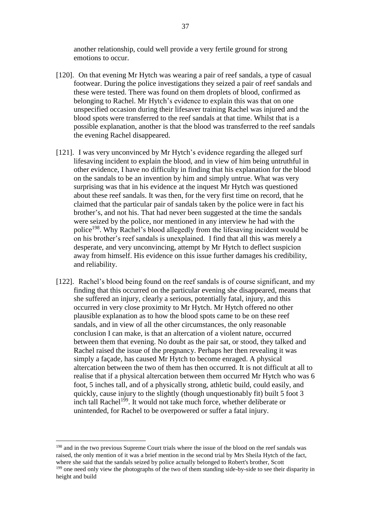another relationship, could well provide a very fertile ground for strong emotions to occur.

- [120]. On that evening Mr Hytch was wearing a pair of reef sandals, a type of casual footwear. During the police investigations they seized a pair of reef sandals and these were tested. There was found on them droplets of blood, confirmed as belonging to Rachel. Mr Hytch's evidence to explain this was that on one unspecified occasion during their lifesaver training Rachel was injured and the blood spots were transferred to the reef sandals at that time. Whilst that is a possible explanation, another is that the blood was transferred to the reef sandals the evening Rachel disappeared.
- [121]. I was very unconvinced by Mr Hytch's evidence regarding the alleged surf lifesaving incident to explain the blood, and in view of him being untruthful in other evidence, I have no difficulty in finding that his explanation for the blood on the sandals to be an invention by him and simply untrue. What was very surprising was that in his evidence at the inquest Mr Hytch was questioned about these reef sandals. It was then, for the very first time on record, that he claimed that the particular pair of sandals taken by the police were in fact his brother's, and not his. That had never been suggested at the time the sandals were seized by the police, nor mentioned in any interview he had with the police<sup>198</sup>. Why Rachel's blood allegedly from the lifesaving incident would be on his brother's reef sandals is unexplained. I find that all this was merely a desperate, and very unconvincing, attempt by Mr Hytch to deflect suspicion away from himself. His evidence on this issue further damages his credibility, and reliability.
- [122]. Rachel's blood being found on the reef sandals is of course significant, and my finding that this occurred on the particular evening she disappeared, means that she suffered an injury, clearly a serious, potentially fatal, injury, and this occurred in very close proximity to Mr Hytch. Mr Hytch offered no other plausible explanation as to how the blood spots came to be on these reef sandals, and in view of all the other circumstances, the only reasonable conclusion I can make, is that an altercation of a violent nature, occurred between them that evening. No doubt as the pair sat, or stood, they talked and Rachel raised the issue of the pregnancy. Perhaps her then revealing it was simply a façade, has caused Mr Hytch to become enraged. A physical altercation between the two of them has then occurred. It is not difficult at all to realise that if a physical altercation between them occurred Mr Hytch who was 6 foot, 5 inches tall, and of a physically strong, athletic build, could easily, and quickly, cause injury to the slightly (though unquestionably fit) built 5 foot 3 inch tall Rachel<sup>199</sup>. It would not take much force, whether deliberate or unintended, for Rachel to be overpowered or suffer a fatal injury.

<sup>198</sup> and in the two previous Supreme Court trials where the issue of the blood on the reef sandals was raised, the only mention of it was a brief mention in the second trial by Mrs Sheila Hytch of the fact, where she said that the sandals seized by police actually belonged to Robert's brother, Scott <sup>199</sup> one need only view the photographs of the two of them standing side-by-side to see their disparity in height and build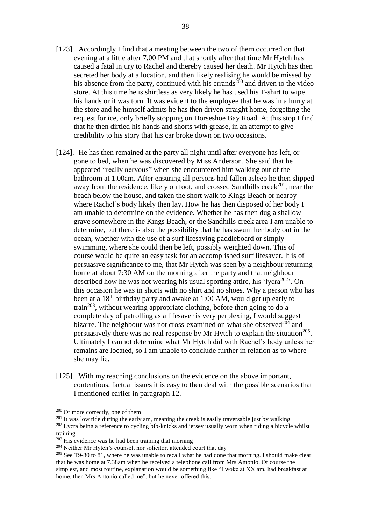- [123]. Accordingly I find that a meeting between the two of them occurred on that evening at a little after 7.00 PM and that shortly after that time Mr Hytch has caused a fatal injury to Rachel and thereby caused her death. Mr Hytch has then secreted her body at a location, and then likely realising he would be missed by his absence from the party, continued with his errands<sup>200</sup> and driven to the video store. At this time he is shirtless as very likely he has used his T-shirt to wipe his hands or it was torn. It was evident to the employee that he was in a hurry at the store and he himself admits he has then driven straight home, forgetting the request for ice, only briefly stopping on Horseshoe Bay Road. At this stop I find that he then dirtied his hands and shorts with grease, in an attempt to give credibility to his story that his car broke down on two occasions.
- [124]. He has then remained at the party all night until after everyone has left, or gone to bed, when he was discovered by Miss Anderson. She said that he appeared "really nervous" when she encountered him walking out of the bathroom at 1.00am. After ensuring all persons had fallen asleep he then slipped away from the residence, likely on foot, and crossed Sandhills creek $^{201}$ , near the beach below the house, and taken the short walk to Kings Beach or nearby where Rachel's body likely then lay. How he has then disposed of her body I am unable to determine on the evidence. Whether he has then dug a shallow grave somewhere in the Kings Beach, or the Sandhills creek area I am unable to determine, but there is also the possibility that he has swum her body out in the ocean, whether with the use of a surf lifesaving paddleboard or simply swimming, where she could then be left, possibly weighted down. This of course would be quite an easy task for an accomplished surf lifesaver. It is of persuasive significance to me, that Mr Hytch was seen by a neighbour returning home at about 7:30 AM on the morning after the party and that neighbour described how he was not wearing his usual sporting attire, his 'lycra<sup>202</sup>'. On this occasion he was in shorts with no shirt and no shoes. Why a person who has been at a 18<sup>th</sup> birthday party and awake at 1:00 AM, would get up early to train<sup>203</sup>, without wearing appropriate clothing, before then going to do a complete day of patrolling as a lifesaver is very perplexing, I would suggest bizarre. The neighbour was not cross-examined on what she observed<sup> $204$ </sup> and persuasively there was no real response by Mr Hytch to explain the situation<sup>205</sup>. Ultimately I cannot determine what Mr Hytch did with Rachel's body unless her remains are located, so I am unable to conclude further in relation as to where she may lie.
- [125]. With my reaching conclusions on the evidence on the above important, contentious, factual issues it is easy to then deal with the possible scenarios that I mentioned earlier in paragraph 12.

<sup>&</sup>lt;sup>200</sup> Or more correctly, one of them

<sup>&</sup>lt;sup>201</sup> It was low tide during the early am, meaning the creek is easily traversable just by walking <sup>202</sup> Lycra being a reference to cycling bib-knicks and jersey usually worn when riding a bicycle whilst training

<sup>&</sup>lt;sup>203</sup> His evidence was he had been training that morning

<sup>&</sup>lt;sup>204</sup> Neither Mr Hytch's counsel, nor solicitor, attended court that day

 $205$  See T9-80 to 81, where he was unable to recall what he had done that morning. I should make clear that he was home at 7.38am when he received a telephone call from Mrs Antonio. Of course the simplest, and most routine, explanation would be something like "I woke at XX am, had breakfast at home, then Mrs Antonio called me", but he never offered this.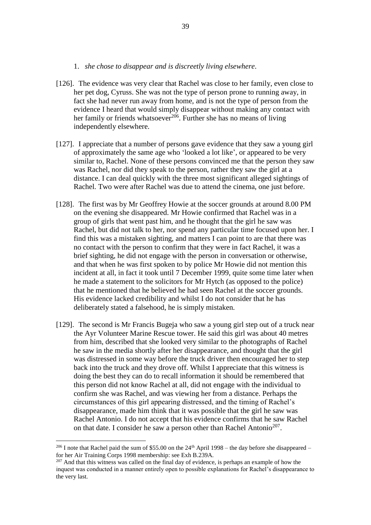#### 1. *she chose to disappear and is discreetly living elsewhere*.

- [126]. The evidence was very clear that Rachel was close to her family, even close to her pet dog, Cyruss. She was not the type of person prone to running away, in fact she had never run away from home, and is not the type of person from the evidence I heard that would simply disappear without making any contact with her family or friends whatsoever $^{206}$ . Further she has no means of living independently elsewhere.
- [127]. I appreciate that a number of persons gave evidence that they saw a young girl of approximately the same age who 'looked a lot like', or appeared to be very similar to, Rachel. None of these persons convinced me that the person they saw was Rachel, nor did they speak to the person, rather they saw the girl at a distance. I can deal quickly with the three most significant alleged sightings of Rachel. Two were after Rachel was due to attend the cinema, one just before.
- [128]. The first was by Mr Geoffrey Howie at the soccer grounds at around 8.00 PM on the evening she disappeared. Mr Howie confirmed that Rachel was in a group of girls that went past him, and he thought that the girl he saw was Rachel, but did not talk to her, nor spend any particular time focused upon her. I find this was a mistaken sighting, and matters I can point to are that there was no contact with the person to confirm that they were in fact Rachel, it was a brief sighting, he did not engage with the person in conversation or otherwise, and that when he was first spoken to by police Mr Howie did not mention this incident at all, in fact it took until 7 December 1999, quite some time later when he made a statement to the solicitors for Mr Hytch (as opposed to the police) that he mentioned that he believed he had seen Rachel at the soccer grounds. His evidence lacked credibility and whilst I do not consider that he has deliberately stated a falsehood, he is simply mistaken.
- [129]. The second is Mr Francis Bugeja who saw a young girl step out of a truck near the Ayr Volunteer Marine Rescue tower. He said this girl was about 40 metres from him, described that she looked very similar to the photographs of Rachel he saw in the media shortly after her disappearance, and thought that the girl was distressed in some way before the truck driver then encouraged her to step back into the truck and they drove off. Whilst I appreciate that this witness is doing the best they can do to recall information it should be remembered that this person did not know Rachel at all, did not engage with the individual to confirm she was Rachel, and was viewing her from a distance. Perhaps the circumstances of this girl appearing distressed, and the timing of Rachel's disappearance, made him think that it was possible that the girl he saw was Rachel Antonio. I do not accept that his evidence confirms that he saw Rachel on that date. I consider he saw a person other than Rachel Antonio<sup>207</sup>.

<sup>&</sup>lt;sup>206</sup> I note that Rachel paid the sum of \$55.00 on the  $24<sup>th</sup>$  April 1998 – the day before she disappeared – for her Air Training Corps 1998 membership: see Exh B.239A.

<sup>&</sup>lt;sup>207</sup> And that this witness was called on the final day of evidence, is perhaps an example of how the inquest was conducted in a manner entirely open to possible explanations for Rachel's disappearance to the very last.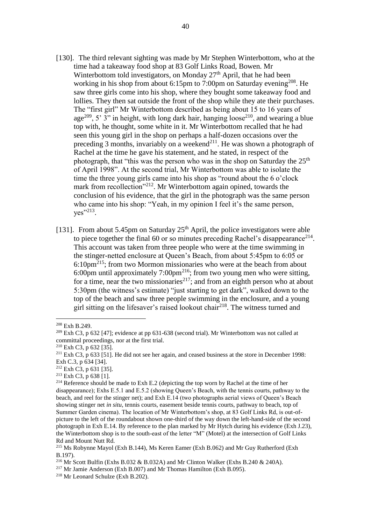- [130]. The third relevant sighting was made by Mr Stephen Winterbottom, who at the time had a takeaway food shop at 83 Golf Links Road, Bowen. Mr Winterbottom told investigators, on Monday  $27<sup>th</sup>$  April, that he had been working in his shop from about 6:15pm to 7:00pm on Saturday evening<sup>208</sup>. He saw three girls come into his shop, where they bought some takeaway food and lollies. They then sat outside the front of the shop while they ate their purchases. The "first girl" Mr Winterbottom described as being about 15 to 16 years of age<sup>209</sup>, 5'  $3$ " in height, with long dark hair, hanging loose<sup>210</sup>, and wearing a blue top with, he thought, some white in it. Mr Winterbottom recalled that he had seen this young girl in the shop on perhaps a half-dozen occasions over the preceding 3 months, invariably on a weekend<sup>211</sup>. He was shown a photograph of Rachel at the time he gave his statement, and he stated, in respect of the photograph, that "this was the person who was in the shop on Saturday the  $25<sup>th</sup>$ of April 1998". At the second trial, Mr Winterbottom was able to isolate the time the three young girls came into his shop as "round about the 6 o'clock mark from recollection"<sup>212</sup>. Mr Winterbottom again opined, towards the conclusion of his evidence, that the girl in the photograph was the same person who came into his shop: "Yeah, in my opinion I feel it's the same person, yes"<sup>213</sup>.
- [131]. From about 5.45pm on Saturday  $25<sup>th</sup>$  April, the police investigators were able to piece together the final 60 or so minutes preceding Rachel's disappearance<sup>214</sup>. This account was taken from three people who were at the time swimming in the stinger-netted enclosure at Queen's Beach, from about 5:45pm to 6:05 or 6:10pm<sup>215</sup>; from two Mormon missionaries who were at the beach from about 6:00pm until approximately 7:00pm<sup>216</sup>; from two young men who were sitting, for a time, near the two missionaries<sup>217</sup>; and from an eighth person who at about 5:30pm (the witness's estimate) "just starting to get dark", walked down to the top of the beach and saw three people swimming in the enclosure, and a young girl sitting on the lifesaver's raised lookout chair<sup>218</sup>. The witness turned and

<sup>208</sup> Exh B.249.

 $^{209}$  Exh C3, p 632 [47]; evidence at pp 631-638 (second trial). Mr Winterbottom was not called at committal proceedings, nor at the first trial.

<sup>210</sup> Exh C3, p 632 [35].

<sup>&</sup>lt;sup>211</sup> Exh C3, p 633 [51]. He did not see her again, and ceased business at the store in December 1998: Exh C.3, p 634 [34].

<sup>212</sup> Exh C3, p 631 [35].

<sup>213</sup> Exh C3, p 638 [1].

 $^{214}$  Reference should be made to Exh E.2 (depicting the top worn by Rachel at the time of her disappearance); Exhs E.5.1 and E.5.2 (showing Queen's Beach, with the tennis courts, pathway to the beach, and reel for the stinger net); and Exh E.14 (two photographs aerial views of Queen's Beach showing stinger net *in situ*, tennis courts, easement beside tennis courts, pathway to beach, top of Summer Garden cinema). The location of Mr Winterbottom's shop, at 83 Golf Links Rd, is out-ofpicture to the left of the roundabout shown one-third of the way down the left-hand-side of the second photograph in Exh E.14. By reference to the plan marked by Mr Hytch during his evidence (Exh J.23), the Winterbottom shop is to the south-east of the letter "M" (Motel) at the intersection of Golf Links Rd and Mount Nutt Rd.

<sup>215</sup> Ms Robynne Mayol (Exh B.144), Ms Keren Eamer (Exh B.062) and Mr Guy Rutherford (Exh B.197).

<sup>&</sup>lt;sup>216</sup> Mr Scott Bulfin (Exhs B.032 & B.032A) and Mr Clinton Walker (Exhs B.240 & 240A).

<sup>&</sup>lt;sup>217</sup> Mr Jamie Anderson (Exh B.007) and Mr Thomas Hamilton (Exh B.095).

<sup>218</sup> Mr Leonard Schulze (Exh B.202).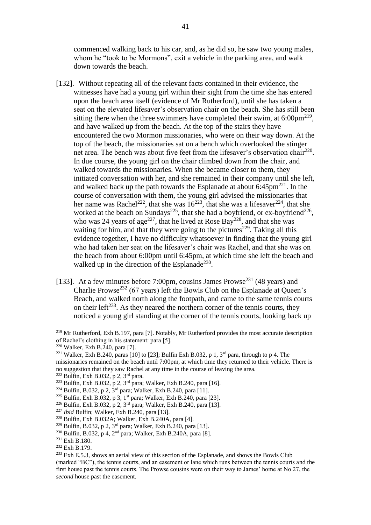commenced walking back to his car, and, as he did so, he saw two young males, whom he "took to be Mormons", exit a vehicle in the parking area, and walk down towards the beach.

- [132]. Without repeating all of the relevant facts contained in their evidence, the witnesses have had a young girl within their sight from the time she has entered upon the beach area itself (evidence of Mr Rutherford), until she has taken a seat on the elevated lifesaver's observation chair on the beach. She has still been sitting there when the three swimmers have completed their swim, at  $6:00 \text{pm}^{219}$ , and have walked up from the beach. At the top of the stairs they have encountered the two Mormon missionaries, who were on their way down. At the top of the beach, the missionaries sat on a bench which overlooked the stinger net area. The bench was about five feet from the lifesaver's observation chair<sup>220</sup>. In due course, the young girl on the chair climbed down from the chair, and walked towards the missionaries. When she became closer to them, they initiated conversation with her, and she remained in their company until she left, and walked back up the path towards the Esplanade at about  $6:45 \text{pm}^{221}$ . In the course of conversation with them, the young girl advised the missionaries that her name was Rachel<sup>222</sup>, that she was  $16^{223}$ , that she was a lifesaver<sup>224</sup>, that she worked at the beach on Sundays<sup>225</sup>, that she had a boyfriend, or ex-boyfriend<sup>226</sup>, who was 24 years of age<sup>227</sup>, that he lived at Rose Bay<sup>228</sup>, and that she was waiting for him, and that they were going to the pictures<sup>229</sup>. Taking all this evidence together, I have no difficulty whatsoever in finding that the young girl who had taken her seat on the lifesaver's chair was Rachel, and that she was on the beach from about 6:00pm until 6:45pm, at which time she left the beach and walked up in the direction of the Esplanade<sup>230</sup>.
- [133]. At a few minutes before 7:00pm, cousins James Prowse<sup>231</sup> (48 years) and Charlie Prowse<sup>232</sup> (67 years) left the Bowls Club on the Esplanade at Queen's Beach, and walked north along the footpath, and came to the same tennis courts on their left<sup> $233$ </sup>. As they neared the northern corner of the tennis courts, they noticed a young girl standing at the corner of the tennis courts, looking back up

<sup>219</sup> Mr Rutherford, Exh B.197, para [7]. Notably, Mr Rutherford provides the most accurate description of Rachel's clothing in his statement: para [5].

<sup>220</sup> Walker, Exh B.240, para [7].

<sup>&</sup>lt;sup>221</sup> Walker, Exh B.240, paras [10] to [23]; Bulfin Exh B.032, p 1,  $3<sup>rd</sup>$  para, through to p 4. The missionaries remained on the beach until 7:00pm, at which time they returned to their vehicle. There is no suggestion that they saw Rachel at any time in the course of leaving the area.

<sup>222</sup> Bulfin, Exh B.032, p 2, 3rd para.

<sup>&</sup>lt;sup>223</sup> Bulfin, Exh B.032, p 2, 3<sup>rd</sup> para; Walker, Exh B.240, para [16].

<sup>&</sup>lt;sup>224</sup> Bulfin, B.032, p 2,  $3^{rd}$  para; Walker, Exh B.240, para [11].

<sup>225</sup> Bulfin, Exh B.032, p 3, 1st para; Walker, Exh B.240, para [23].

<sup>&</sup>lt;sup>226</sup> Bulfin, Exh B.032, p 2,  $3^{rd}$  para; Walker, Exh B.240, para [13].

<sup>227</sup> *Ibid* Bulfin; Walker, Exh B.240, para [13].

<sup>228</sup> Bulfin, Exh B.032A; Walker, Exh B.240A, para [4].

<sup>&</sup>lt;sup>229</sup> Bulfin, B.032, p 2, 3<sup>rd</sup> para; Walker, Exh B.240, para [13].

 $^{230}$  Bulfin, B.032, p 4, 2<sup>nd</sup> para; Walker, Exh B.240A, para [8].

<sup>231</sup> Exh B.180.

<sup>232</sup> Exh B.179.

 $233$  Exh E.5.3, shows an aerial view of this section of the Esplanade, and shows the Bowls Club (marked "BC"), the tennis courts, and an easement or lane which runs between the tennis courts and the first house past the tennis courts. The Prowse cousins were on their way to James' home at No 27, the *second* house past the easement.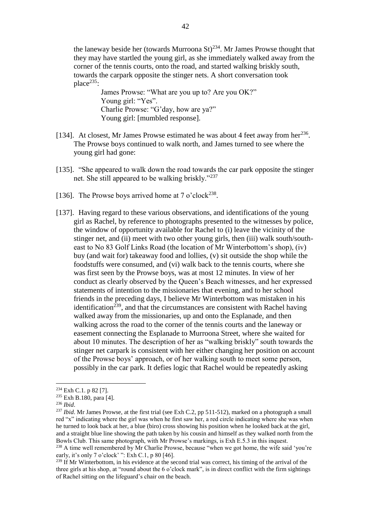the laneway beside her (towards Murroona  $St$ )<sup>234</sup>. Mr James Prowse thought that they may have startled the young girl, as she immediately walked away from the corner of the tennis courts, onto the road, and started walking briskly south, towards the carpark opposite the stinger nets. A short conversation took place $^{235}$ :

James Prowse: "What are you up to? Are you OK?" Young girl: "Yes". Charlie Prowse: "G'day, how are ya?" Young girl: [mumbled response].

- [134]. At closest, Mr James Prowse estimated he was about 4 feet away from her<sup>236</sup>. The Prowse boys continued to walk north, and James turned to see where the young girl had gone:
- [135]. "She appeared to walk down the road towards the car park opposite the stinger net. She still appeared to be walking briskly."<sup>237</sup>
- [136]. The Prowse boys arrived home at  $7$  o'clock<sup>238</sup>.
- [137]. Having regard to these various observations, and identifications of the young girl as Rachel, by reference to photographs presented to the witnesses by police, the window of opportunity available for Rachel to (i) leave the vicinity of the stinger net, and (ii) meet with two other young girls, then (iii) walk south/southeast to No 83 Golf Links Road (the location of Mr Winterbottom's shop), (iv) buy (and wait for) takeaway food and lollies, (v) sit outside the shop while the foodstuffs were consumed, and (vi) walk back to the tennis courts, where she was first seen by the Prowse boys, was at most 12 minutes. In view of her conduct as clearly observed by the Queen's Beach witnesses, and her expressed statements of intention to the missionaries that evening, and to her school friends in the preceding days, I believe Mr Winterbottom was mistaken in his identification<sup> $239$ </sup>, and that the circumstances are consistent with Rachel having walked away from the missionaries, up and onto the Esplanade, and then walking across the road to the corner of the tennis courts and the laneway or easement connecting the Esplanade to Murroona Street, where she waited for about 10 minutes. The description of her as "walking briskly" south towards the stinger net carpark is consistent with her either changing her position on account of the Prowse boys' approach, or of her walking south to meet some person, possibly in the car park. It defies logic that Rachel would be repeatedly asking

<sup>234</sup> Exh C.1. p 82 [7].

<sup>235</sup> Exh B.180, para [4].

<sup>236</sup> *Ibid*.

<sup>&</sup>lt;sup>237</sup> *Ibid*. Mr James Prowse, at the first trial (see Exh C.2, pp 511-512), marked on a photograph a small red "x" indicating where the girl was when he first saw her, a red circle indicating where she was when he turned to look back at her, a blue (biro) cross showing his position when he looked back at the girl, and a straight blue line showing the path taken by his cousin and himself as they walked north from the Bowls Club. This same photograph, with Mr Prowse's markings, is Exh E.5.3 in this inquest.

<sup>&</sup>lt;sup>238</sup> A time well remembered by Mr Charlie Prowse, because "when we got home, the wife said 'you're early, it's only 7 o'clock' ": Exh C.1, p 80 [46].

<sup>&</sup>lt;sup>239</sup> If Mr Winterbottom, in his evidence at the second trial was correct, his timing of the arrival of the three girls at his shop, at "round about the 6 o'clock mark", is in direct conflict with the firm sightings of Rachel sitting on the lifeguard's chair on the beach.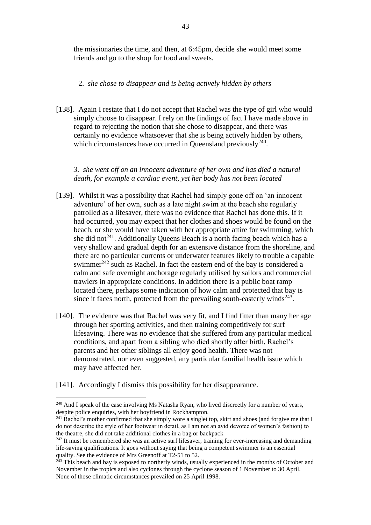the missionaries the time, and then, at 6:45pm, decide she would meet some friends and go to the shop for food and sweets.

## 2. *she chose to disappear and is being actively hidden by others*

[138]. Again I restate that I do not accept that Rachel was the type of girl who would simply choose to disappear. I rely on the findings of fact I have made above in regard to rejecting the notion that she chose to disappear, and there was certainly no evidence whatsoever that she is being actively hidden by others, which circumstances have occurred in Queensland previously $240$ .

*3. she went off on an innocent adventure of her own and has died a natural death, for example a cardiac event, yet her body has not been located*

- [139]. Whilst it was a possibility that Rachel had simply gone off on 'an innocent adventure' of her own, such as a late night swim at the beach she regularly patrolled as a lifesaver, there was no evidence that Rachel has done this. If it had occurred, you may expect that her clothes and shoes would be found on the beach, or she would have taken with her appropriate attire for swimming, which she did not<sup>241</sup>. Additionally Queens Beach is a north facing beach which has a very shallow and gradual depth for an extensive distance from the shoreline, and there are no particular currents or underwater features likely to trouble a capable swimmer<sup>242</sup> such as Rachel. In fact the eastern end of the bay is considered a calm and safe overnight anchorage regularly utilised by sailors and commercial trawlers in appropriate conditions. In addition there is a public boat ramp located there, perhaps some indication of how calm and protected that bay is since it faces north, protected from the prevailing south-easterly winds $^{243}$ .
- [140]. The evidence was that Rachel was very fit, and I find fitter than many her age through her sporting activities, and then training competitively for surf lifesaving. There was no evidence that she suffered from any particular medical conditions, and apart from a sibling who died shortly after birth, Rachel's parents and her other siblings all enjoy good health. There was not demonstrated, nor even suggested, any particular familial health issue which may have affected her.
- [141]. Accordingly I dismiss this possibility for her disappearance.

<sup>&</sup>lt;sup>240</sup> And I speak of the case involving Ms Natasha Ryan, who lived discreetly for a number of years, despite police enquiries, with her boyfriend in Rockhampton.

<sup>&</sup>lt;sup>241</sup> Rachel's mother confirmed that she simply wore a singlet top, skirt and shoes (and forgive me that I do not describe the style of her footwear in detail, as I am not an avid devotee of women's fashion) to the theatre, she did not take additional clothes in a bag or backpack

<sup>&</sup>lt;sup>242</sup> It must be remembered she was an active surf lifesaver, training for ever-increasing and demanding life-saving qualifications. It goes without saying that being a competent swimmer is an essential quality. See the evidence of Mrs Greenoff at T2-51 to 52.

<sup>&</sup>lt;sup>243</sup> This beach and bay is exposed to northerly winds, usually experienced in the months of October and November in the tropics and also cyclones through the cyclone season of 1 November to 30 April. None of those climatic circumstances prevailed on 25 April 1998.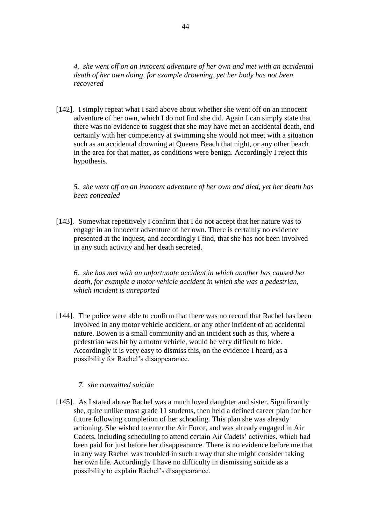*4. she went off on an innocent adventure of her own and met with an accidental death of her own doing, for example drowning, yet her body has not been recovered*

[142]. I simply repeat what I said above about whether she went off on an innocent adventure of her own, which I do not find she did. Again I can simply state that there was no evidence to suggest that she may have met an accidental death, and certainly with her competency at swimming she would not meet with a situation such as an accidental drowning at Queens Beach that night, or any other beach in the area for that matter, as conditions were benign. Accordingly I reject this hypothesis.

*5. she went off on an innocent adventure of her own and died, yet her death has been concealed*

[143]. Somewhat repetitively I confirm that I do not accept that her nature was to engage in an innocent adventure of her own. There is certainly no evidence presented at the inquest, and accordingly I find, that she has not been involved in any such activity and her death secreted.

*6. she has met with an unfortunate accident in which another has caused her death, for example a motor vehicle accident in which she was a pedestrian, which incident is unreported*

[144]. The police were able to confirm that there was no record that Rachel has been involved in any motor vehicle accident, or any other incident of an accidental nature. Bowen is a small community and an incident such as this, where a pedestrian was hit by a motor vehicle, would be very difficult to hide. Accordingly it is very easy to dismiss this, on the evidence I heard, as a possibility for Rachel's disappearance.

## *7. she committed suicide*

[145]. As I stated above Rachel was a much loved daughter and sister. Significantly she, quite unlike most grade 11 students, then held a defined career plan for her future following completion of her schooling. This plan she was already actioning. She wished to enter the Air Force, and was already engaged in Air Cadets, including scheduling to attend certain Air Cadets' activities, which had been paid for just before her disappearance. There is no evidence before me that in any way Rachel was troubled in such a way that she might consider taking her own life. Accordingly I have no difficulty in dismissing suicide as a possibility to explain Rachel's disappearance.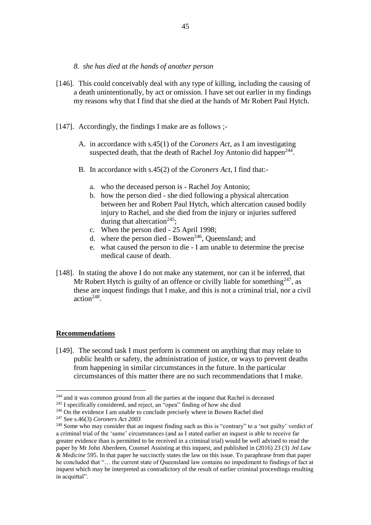- *8. she has died at the hands of another person*
- [146]. This could conceivably deal with any type of killing, including the causing of a death unintentionally, by act or omission. I have set out earlier in my findings my reasons why that I find that she died at the hands of Mr Robert Paul Hytch.
- [147]. Accordingly, the findings I make are as follows ;-
	- A. in accordance with s.45(1) of the *Coroners Act*, as I am investigating suspected death, that the death of Rachel Joy Antonio did happen<sup>244</sup>.
	- B. In accordance with s.45(2) of the *Coroners Act*, I find that:
		- a. who the deceased person is Rachel Joy Antonio;
		- b. how the person died she died following a physical altercation between her and Robert Paul Hytch, which altercation caused bodily injury to Rachel, and she died from the injury or injuries suffered during that altercation<sup>245</sup>;
		- c. When the person died 25 April 1998;
		- d. where the person died Bowen<sup>246</sup>, Queensland; and
		- e. what caused the person to die I am unable to determine the precise medical cause of death.
- [148]. In stating the above I do not make any statement, nor can it be inferred, that Mr Robert Hytch is guilty of an offence or civilly liable for something  $247$ , as these are inquest findings that I make, and this is not a criminal trial, nor a civil  $action<sup>248</sup>$ .

#### **Recommendations**

<u>.</u>

[149]. The second task I must perform is comment on anything that may relate to public health or safety, the administration of justice, or ways to prevent deaths from happening in similar circumstances in the future. In the particular circumstances of this matter there are no such recommendations that I make.

<sup>&</sup>lt;sup>244</sup> and it was common ground from all the parties at the inquest that Rachel is deceased

<sup>&</sup>lt;sup>245</sup> I specifically considered, and reject, an "open" finding of how she died

<sup>&</sup>lt;sup>246</sup> On the evidence I am unable to conclude precisely where in Bowen Rachel died

<sup>247</sup> See s.46(3) *Coroners Act 2003*

<sup>&</sup>lt;sup>248</sup> Some who may consider that an inquest finding such as this is "contrary" to a 'not guilty' verdict of a criminal trial of the 'same' circumstances (and as I stated earlier an inquest is able to receive far greater evidence than is permitted to be received in a criminal trial) would be well advised to read the paper by Mr John Aberdeen, Counsel Assisting at this inquest, and published in (2016) 23 (3) *Jnl Law & Medicine* 595. In that paper he succinctly states the law on this issue. To paraphrase from that paper he concluded that "… the current state of Queensland law contains no impediment to findings of fact at inquest which may be interpreted as contradictory of the result of earlier criminal proceedings resulting in acquittal".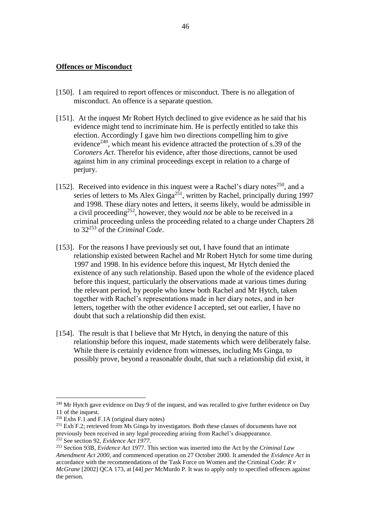#### **Offences or Misconduct**

- [150]. I am required to report offences or misconduct. There is no allegation of misconduct. An offence is a separate question.
- [151]. At the inquest Mr Robert Hytch declined to give evidence as he said that his evidence might tend to incriminate him. He is perfectly entitled to take this election. Accordingly I gave him two directions compelling him to give evidence<sup>249</sup>, which meant his evidence attracted the protection of s.39 of the *Coroners Act*. Therefor his evidence, after those directions, cannot be used against him in any criminal proceedings except in relation to a charge of perjury.
- [152]. Received into evidence in this inquest were a Rachel's diary notes<sup>250</sup>, and a series of letters to Ms Alex Ginga<sup>251</sup>, written by Rachel, principally during 1997 and 1998. These diary notes and letters, it seems likely, would be admissible in a civil proceeding<sup>252</sup>, however, they would *not* be able to be received in a criminal proceeding unless the proceeding related to a charge under Chapters 28 to 32<sup>253</sup> of the *Criminal Code*.
- [153]. For the reasons I have previously set out, I have found that an intimate relationship existed between Rachel and Mr Robert Hytch for some time during 1997 and 1998. In his evidence before this inquest, Mr Hytch denied the existence of any such relationship. Based upon the whole of the evidence placed before this inquest, particularly the observations made at various times during the relevant period, by people who knew both Rachel and Mr Hytch, taken together with Rachel's representations made in her diary notes, and in her letters, together with the other evidence I accepted, set out earlier, I have no doubt that such a relationship did then exist.
- [154]. The result is that I believe that Mr Hytch, in denying the nature of this relationship before this inquest, made statements which were deliberately false. While there is certainly evidence from witnesses, including Ms Ginga, to possibly prove, beyond a reasonable doubt, that such a relationship did exist, it

 $249$  Mr Hytch gave evidence on Day 9 of the inquest, and was recalled to give further evidence on Day 11 of the inquest.

 $250$  Exhs F.1 and F.1A (original diary notes)

<sup>&</sup>lt;sup>251</sup> Exh F.2; retrieved from Ms Ginga by investigators. Both these classes of documents have not previously been received in any legal proceeding arising from Rachel's disappearance. <sup>252</sup> See section 92, *Evidence Act 1977*.

<sup>253</sup> Section 93B, *Evidence Act* 1977. This section was inserted into the Act by the *Criminal Law Amendment Act 2000*, and commenced operation on 27 October 2000. It amended the *Evidence Act* in accordance with the recommendations of the Task Force on Women and the Criminal Code: *R v McGrane* [2002] QCA 173, at [44] *per* McMurdo P. It was to apply only to specified offences against the person.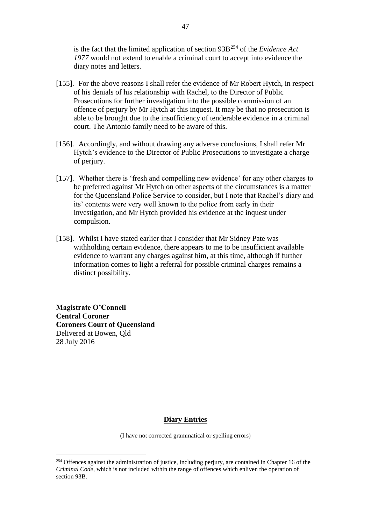is the fact that the limited application of section 93B<sup>254</sup> of the *Evidence Act 1977* would not extend to enable a criminal court to accept into evidence the diary notes and letters.

- [155]. For the above reasons I shall refer the evidence of Mr Robert Hytch, in respect of his denials of his relationship with Rachel, to the Director of Public Prosecutions for further investigation into the possible commission of an offence of perjury by Mr Hytch at this inquest. It may be that no prosecution is able to be brought due to the insufficiency of tenderable evidence in a criminal court. The Antonio family need to be aware of this.
- [156]. Accordingly, and without drawing any adverse conclusions, I shall refer Mr Hytch's evidence to the Director of Public Prosecutions to investigate a charge of perjury.
- [157]. Whether there is 'fresh and compelling new evidence' for any other charges to be preferred against Mr Hytch on other aspects of the circumstances is a matter for the Queensland Police Service to consider, but I note that Rachel's diary and its' contents were very well known to the police from early in their investigation, and Mr Hytch provided his evidence at the inquest under compulsion.
- [158]. Whilst I have stated earlier that I consider that Mr Sidney Pate was withholding certain evidence, there appears to me to be insufficient available evidence to warrant any charges against him, at this time, although if further information comes to light a referral for possible criminal charges remains a distinct possibility.

**Magistrate O'Connell Central Coroner Coroners Court of Queensland** Delivered at Bowen, Qld 28 July 2016

<u>.</u>

## **Diary Entries**

(I have not corrected grammatical or spelling errors)

<sup>&</sup>lt;sup>254</sup> Offences against the administration of justice, including perjury, are contained in Chapter 16 of the *Criminal Code*, which is not included within the range of offences which enliven the operation of section 93B.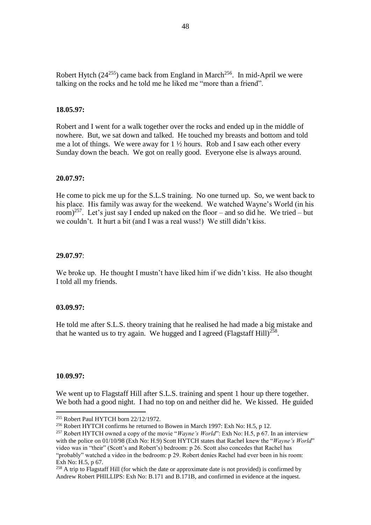Robert Hytch  $(24^{255})$  came back from England in March<sup>256</sup>. In mid-April we were talking on the rocks and he told me he liked me "more than a friend".

## **18.05.97:**

Robert and I went for a walk together over the rocks and ended up in the middle of nowhere. But, we sat down and talked. He touched my breasts and bottom and told me a lot of things. We were away for  $1 \frac{1}{2}$  hours. Rob and I saw each other every Sunday down the beach. We got on really good. Everyone else is always around.

#### **20.07.97:**

He come to pick me up for the S.L.S training. No one turned up. So, we went back to his place. His family was away for the weekend. We watched Wayne's World (in his room)<sup>257</sup>. Let's just say I ended up naked on the floor – and so did he. We tried – but we couldn't. It hurt a bit (and I was a real wuss!) We still didn't kiss.

#### **29.07.97**:

We broke up. He thought I mustn't have liked him if we didn't kiss. He also thought I told all my friends.

#### **03.09.97:**

He told me after S.L.S. theory training that he realised he had made a big mistake and that he wanted us to try again. We hugged and I agreed (Flagstaff Hill)<sup>258</sup>.

#### **10**.**09.97:**

<u>.</u>

We went up to Flagstaff Hill after S.L.S. training and spent 1 hour up there together. We both had a good night. I had no top on and neither did he. We kissed. He guided

<sup>255</sup> Robert Paul HYTCH born 22/12/1972.

<sup>256</sup> Robert HYTCH confirms he returned to Bowen in March 1997: Exh No: H.5, p 12.

<sup>257</sup> Robert HYTCH owned a copy of the movie "*Wayne's World*": Exh No: H.5, p 67. In an interview with the police on 01/10/98 (Exh No: H.9) Scott HYTCH states that Rachel knew the "*Wayne's World*" video was in "their" (Scott's and Robert's) bedroom: p 26. Scott also concedes that Rachel has "probably" watched a video in the bedroom: p 29. Robert denies Rachel had ever been in his room: Exh No: H.5, p 67.

 $^{258}$  A trip to Flagstaff Hill (for which the date or approximate date is not provided) is confirmed by Andrew Robert PHILLIPS: Exh No: B.171 and B.171B, and confirmed in evidence at the inquest.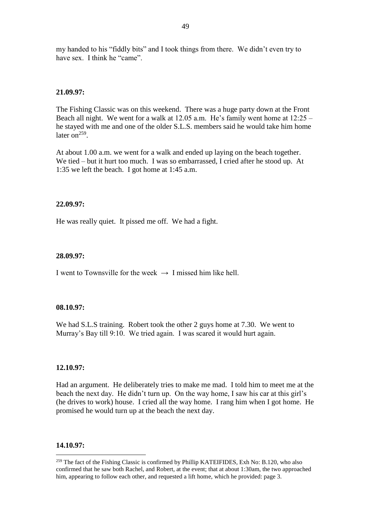my handed to his "fiddly bits" and I took things from there. We didn't even try to have sex. I think he "came".

## **21.09.97:**

The Fishing Classic was on this weekend. There was a huge party down at the Front Beach all night. We went for a walk at 12.05 a.m. He's family went home at 12:25 – he stayed with me and one of the older S.L.S. members said he would take him home later on<sup>259</sup>.

At about 1.00 a.m. we went for a walk and ended up laying on the beach together. We tied – but it hurt too much. I was so embarrassed, I cried after he stood up. At 1:35 we left the beach. I got home at 1:45 a.m.

#### **22.09.97:**

He was really quiet. It pissed me off. We had a fight.

## **28.09.97:**

I went to Townsville for the week  $\rightarrow$  I missed him like hell.

#### **08.10.97:**

We had S.L.S training. Robert took the other 2 guys home at 7.30. We went to Murray's Bay till 9:10. We tried again. I was scared it would hurt again.

#### **12.10.97:**

Had an argument. He deliberately tries to make me mad. I told him to meet me at the beach the next day. He didn't turn up. On the way home, I saw his car at this girl's (he drives to work) house. I cried all the way home. I rang him when I got home. He promised he would turn up at the beach the next day.

#### **14.10.97:**

<sup>&</sup>lt;sup>259</sup> The fact of the Fishing Classic is confirmed by Phillip KATEIFIDES, Exh No: B.120, who also confirmed that he saw both Rachel, and Robert, at the event; that at about 1:30am, the two approached him, appearing to follow each other, and requested a lift home, which he provided: page 3.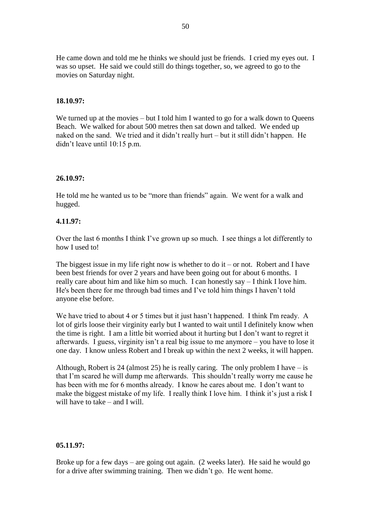He came down and told me he thinks we should just be friends. I cried my eyes out. I was so upset. He said we could still do things together, so, we agreed to go to the movies on Saturday night.

## **18.10.97:**

We turned up at the movies – but I told him I wanted to go for a walk down to Queens Beach. We walked for about 500 metres then sat down and talked. We ended up naked on the sand. We tried and it didn't really hurt – but it still didn't happen. He didn't leave until 10:15 p.m.

## **26.10.97:**

He told me he wanted us to be "more than friends" again. We went for a walk and hugged.

## **4.11.97:**

Over the last 6 months I think I've grown up so much. I see things a lot differently to how I used to!

The biggest issue in my life right now is whether to do it – or not. Robert and I have been best friends for over 2 years and have been going out for about 6 months. I really care about him and like him so much. I can honestly say – I think I love him. He's been there for me through bad times and I've told him things I haven't told anyone else before.

We have tried to about 4 or 5 times but it just hasn't happened. I think I'm ready. A lot of girls loose their virginity early but I wanted to wait until I definitely know when the time is right. I am a little bit worried about it hurting but I don't want to regret it afterwards. I guess, virginity isn't a real big issue to me anymore – you have to lose it one day. I know unless Robert and I break up within the next 2 weeks, it will happen.

Although, Robert is 24 (almost 25) he is really caring. The only problem I have  $-$  is that I'm scared he will dump me afterwards. This shouldn't really worry me cause he has been with me for 6 months already. I know he cares about me. I don't want to make the biggest mistake of my life. I really think I love him. I think it's just a risk I will have to take – and I will.

## **05.11.97:**

Broke up for a few days – are going out again. (2 weeks later). He said he would go for a drive after swimming training. Then we didn't go. He went home.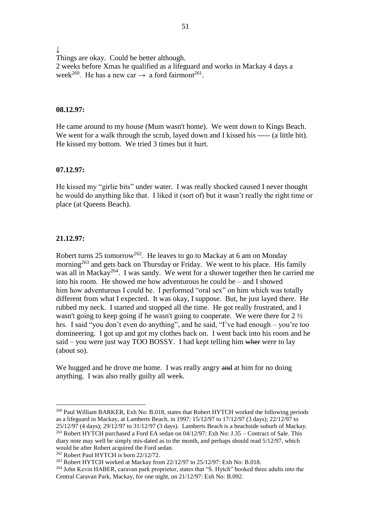$\downarrow$ Things are okay. Could be better although. 2 weeks before Xmas he qualified as a lifeguard and works in Mackay 4 days a week<sup>260</sup>. He has a new car  $\rightarrow$  a ford fairmont<sup>261</sup>.

#### **08.12.97:**

He came around to my house (Mum wasn't home). We went down to Kings Beach. We went for a walk through the scrub, layed down and I kissed his ----- (a little bit). He kissed my bottom. We tried 3 times but it hurt.

## **07.12.97:**

He kissed my "girlie bits" under water. I was really shocked caused I never thought he would do anything like that. I liked it (sort of) but it wasn't really the right time or place (at Queens Beach).

#### **21.12.97:**

1

Robert turns 25 tomorrow<sup>262</sup>. He leaves to go to Mackay at 6 am on Monday morning<sup>263</sup> and gets back on Thursday or Friday. We went to his place. His family was all in Mackay<sup>264</sup>. I was sandy. We went for a shower together then he carried me into his room. He showed me how adventurous he could be – and I showed him how adventurous I could be. I performed "oral sex" on him which was totally different from what I expected. It was okay, I suppose. But, he just layed there. He rubbed my neck. I started and stopped all the time. He got really frustrated, and I wasn't going to keep going if he wasn't going to cooperate. We were there for 2 ½ hrs. I said "you don't even do anything", and he said, "I've had enough – you're too domineering. I got up and got my clothes back on. I went back into his room and he said – you were just way TOO BOSSY. I had kept telling him where were to lay (about so).

We hugged and he drove me home. I was really angry and at him for no doing anything. I was also really guilty all week.

<sup>&</sup>lt;sup>260</sup> Paul William BARKER, Exh No: B.018, states that Robert HYTCH worked the following periods as a lifeguard in Mackay, at Lamberts Beach, in 1997: 15/12/97 to 17/12/97 (3 days); 22/12/97 to 25/12/97 (4 days); 29/12/97 to 31/12/97 (3 days). Lamberts Beach is a beachside suburb of Mackay.

<sup>&</sup>lt;sup>261</sup> Robert HYTCH purchased a Ford EA sedan on 04/12/97: Exh No: J.35 – Contract of Sale. This diary note may well be simply mis-dated as to the month, and perhaps should read 5/12/97, which would be after Robert acquired the Ford sedan.

<sup>&</sup>lt;sup>262</sup> Robert Paul HYTCH is born 22/12/72.

<sup>&</sup>lt;sup>263</sup> Robert HYTCH worked at Mackay from 22/12/97 to 25/12/97: Exh No: B.018.

<sup>&</sup>lt;sup>264</sup> John Kevin HABER, caravan park proprietor, states that "S. Hytch" booked three adults into the Central Caravan Park, Mackay, for one night, on 21/12/97: Exh No: B.092.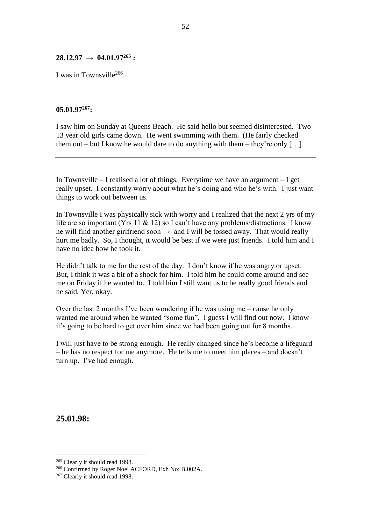## **28.12.97 → 04.01.97<sup>265</sup> :**

I was in Townsville<sup>266</sup>.

## **05.01.97<sup>267</sup>:**

I saw him on Sunday at Queens Beach. He said hello but seemed disinterested. Two 13 year old girls came down. He went swimming with them. (He fairly checked them out – but I know he would dare to do anything with them – they're only  $[\dots]$ 

In Townsville – I realised a lot of things. Everytime we have an argument – I get really upset. I constantly worry about what he's doing and who he's with. I just want things to work out between us.

In Townsville I was physically sick with worry and I realized that the next 2 yrs of my life are so important (Yrs 11 & 12) so I can't have any problems/distractions. I know he will find another girlfriend soon  $\rightarrow$  and I will be tossed away. That would really hurt me badly. So, I thought, it would be best if we were just friends. I told him and I have no idea how he took it.

He didn't talk to me for the rest of the day. I don't know if he was angry or upset. But, I think it was a bit of a shock for him. I told him he could come around and see me on Friday if he wanted to. I told him I still want us to be really good friends and he said, Yer, okay.

Over the last 2 months I've been wondering if he was using me – cause he only wanted me around when he wanted "some fun". I guess I will find out now. I know it's going to be hard to get over him since we had been going out for 8 months.

I will just have to be strong enough. He really changed since he's become a lifeguard – he has no respect for me anymore. He tells me to meet him places – and doesn't turn up. I've had enough.

**25.01.98:**

<sup>&</sup>lt;sup>265</sup> Clearly it should read 1998.

<sup>&</sup>lt;sup>266</sup> Confirmed by Roger Noel ACFORD, Exh No: B.002A.

<sup>&</sup>lt;sup>267</sup> Clearly it should read 1998.